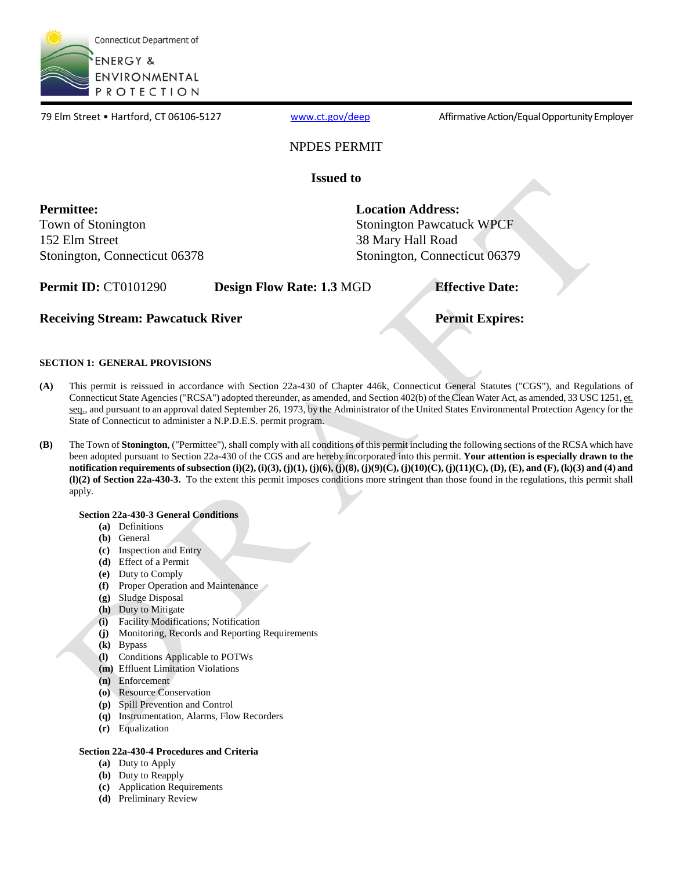

79 Elm Street • Hartford, CT 06106-5127 [www.ct.gov/deep](http://www.ct.gov/deep) Affirmative Action/Equal Opportunity Employer

### NPDES PERMIT

**Issued to** 

**Permittee:**  Town of Stonington 152 Elm Street Stonington, Connecticut 06378 **Location Address:** 

Stonington Pawcatuck WPCF 38 Mary Hall Road Stonington, Connecticut 06379

**Permit ID:** CT0101290 **Design Flow Rate: 1.3 MGD <b>Effective Date:** 

### **Receiving Stream: Pawcatuck River Permit Expires: Permit Expires:**

### **SECTION 1: GENERAL PROVISIONS**

- **(A)** This permit is reissued in accordance with Section 22a-430 of Chapter 446k, Connecticut General Statutes ("CGS"), and Regulations of Connecticut State Agencies ("RCSA") adopted thereunder, as amended, and Section 402(b) of the Clean Water Act, as amended, 33 USC 1251, et. seq., and pursuant to an approval dated September 26, 1973, by the Administrator of the United States Environmental Protection Agency for the State of Connecticut to administer a N.P.D.E.S. permit program.
- **(B)** The Town of **Stonington**, ("Permittee"), shall comply with all conditions of this permit including the following sections of the RCSA which have been adopted pursuant to Section 22a-430 of the CGS and are hereby incorporated into this permit. **Your attention is especially drawn to the notification requirements of subsection (i)(2), (i)(3), (j)(1), (j)(6), (j)(8), (j)(9)(C), (j)(10)(C), (j)(11)(C), (D), (E), and (F), (k)(3) and (4) and (l)(2) of Section 22a-430-3.** To the extent this permit imposes conditions more stringent than those found in the regulations, this permit shall apply.

### **Section 22a-430-3 General Conditions**

- **(a)** Definitions
- **(b)** General
- **(c)** Inspection and Entry
- **(d)** Effect of a Permit
- **(e)** Duty to Comply
- **(f)** Proper Operation and Maintenance
- **(g)** Sludge Disposal
- **(h)** Duty to Mitigate
- **(i)** Facility Modifications; Notification
- **(j)** Monitoring, Records and Reporting Requirements
- **(k)** Bypass
- **(l)** Conditions Applicable to POTWs
- **(m)** Effluent Limitation Violations
- **(n)** Enforcement
- **(o)** Resource Conservation
- **(p)** Spill Prevention and Control
- **(q)** Instrumentation, Alarms, Flow Recorders
- **(r)** Equalization

### **Section 22a-430-4 Procedures and Criteria**

- **(a)** Duty to Apply
- **(b)** Duty to Reapply
- **(c)** Application Requirements
- **(d)** Preliminary Review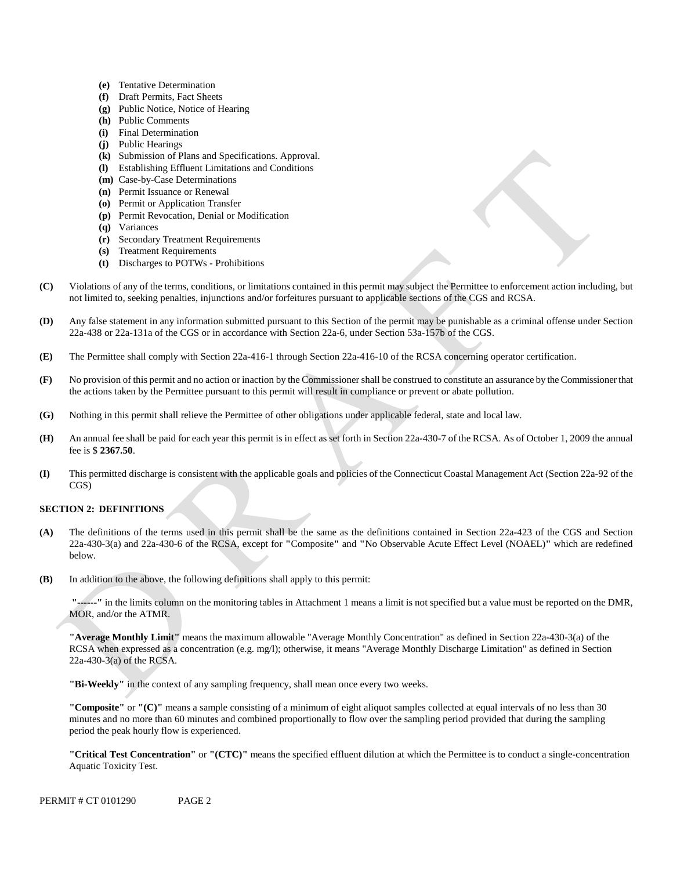- **(e)** Tentative Determination
- **(f)** Draft Permits, Fact Sheets
- **(g)** Public Notice, Notice of Hearing
- **(h)** Public Comments
- **(i)** Final Determination
- **(j)** Public Hearings
- **(k)** Submission of Plans and Specifications. Approval.
- **(l)** Establishing Effluent Limitations and Conditions
- **(m)** Case-by-Case Determinations
- **(n)** Permit Issuance or Renewal
- **(o)** Permit or Application Transfer
- **(p)** Permit Revocation, Denial or Modification
- **(q)** Variances
- **(r)** Secondary Treatment Requirements
- **(s)** Treatment Requirements
- **(t)** Discharges to POTWs Prohibitions
- **(C)** Violations of any of the terms, conditions, or limitations contained in this permit may subject the Permittee to enforcement action including, but not limited to, seeking penalties, injunctions and/or forfeitures pursuant to applicable sections of the CGS and RCSA.
- **(D)** Any false statement in any information submitted pursuant to this Section of the permit may be punishable as a criminal offense under Section 22a-438 or 22a-131a of the CGS or in accordance with Section 22a-6, under Section 53a-157b of the CGS.
- **(E)** The Permittee shall comply with Section 22a-416-1 through Section 22a-416-10 of the RCSA concerning operator certification.
- **(F)** No provision of this permit and no action or inaction by the Commissioner shall be construed to constitute an assurance by the Commissioner that the actions taken by the Permittee pursuant to this permit will result in compliance or prevent or abate pollution.
- **(G)** Nothing in this permit shall relieve the Permittee of other obligations under applicable federal, state and local law.
- **(H)** An annual fee shall be paid for each year this permit is in effect as set forth in Section 22a-430-7 of the RCSA. As of October 1, 2009 the annual fee is \$ **2367.50**.
- **(I)** This permitted discharge is consistent with the applicable goals and policies of the Connecticut Coastal Management Act (Section 22a-92 of the CGS)

### **SECTION 2: DEFINITIONS**

- **(A)** The definitions of the terms used in this permit shall be the same as the definitions contained in Section 22a-423 of the CGS and Section 22a-430-3(a) and 22a-430-6 of the RCSA, except for **"**Composite**"** and **"**No Observable Acute Effect Level (NOAEL)**"** which are redefined below.
- **(B)** In addition to the above, the following definitions shall apply to this permit:

**"------"** in the limits column on the monitoring tables in Attachment 1 means a limit is not specified but a value must be reported on the DMR, MOR, and/or the ATMR.

**"Average Monthly Limit"** means the maximum allowable "Average Monthly Concentration" as defined in Section 22a-430-3(a) of the RCSA when expressed as a concentration (e.g. mg/l); otherwise, it means "Average Monthly Discharge Limitation" as defined in Section 22a-430-3(a) of the RCSA.

**"Bi-Weekly"** in the context of any sampling frequency, shall mean once every two weeks.

**"Composite"** or **"(C)"** means a sample consisting of a minimum of eight aliquot samples collected at equal intervals of no less than 30 minutes and no more than 60 minutes and combined proportionally to flow over the sampling period provided that during the sampling period the peak hourly flow is experienced.

**"Critical Test Concentration"** or **"(CTC)"** means the specified effluent dilution at which the Permittee is to conduct a single-concentration Aquatic Toxicity Test.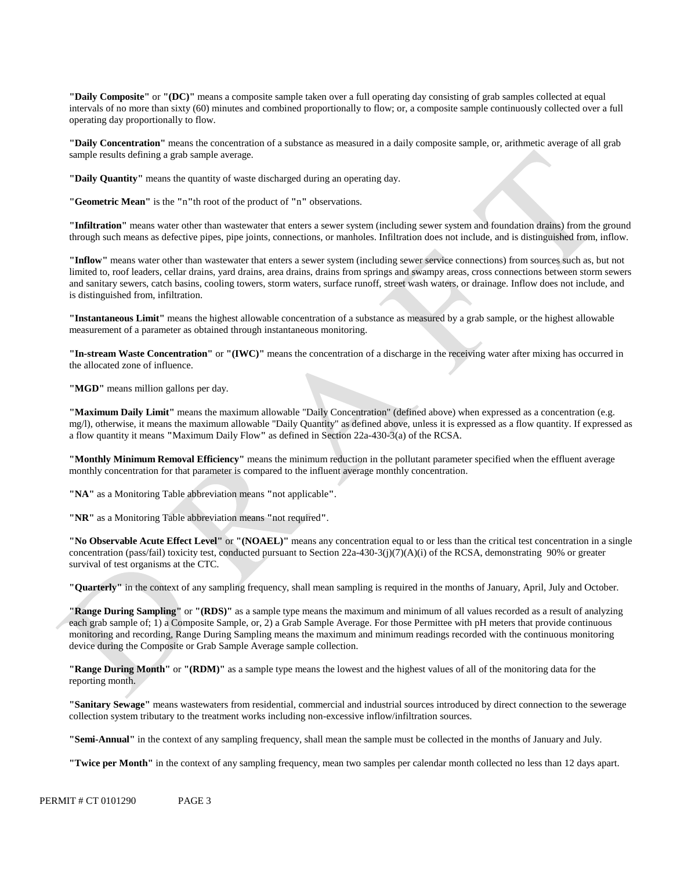**"Daily Composite"** or **"(DC)"** means a composite sample taken over a full operating day consisting of grab samples collected at equal intervals of no more than sixty (60) minutes and combined proportionally to flow; or, a composite sample continuously collected over a full operating day proportionally to flow.

**"Daily Concentration"** means the concentration of a substance as measured in a daily composite sample, or, arithmetic average of all grab sample results defining a grab sample average.

**"Daily Quantity"** means the quantity of waste discharged during an operating day.

**"Geometric Mean"** is the **"**n**"**th root of the product of **"**n**"** observations.

**"Infiltration"** means water other than wastewater that enters a sewer system (including sewer system and foundation drains) from the ground through such means as defective pipes, pipe joints, connections, or manholes. Infiltration does not include, and is distinguished from, inflow.

**"Inflow"** means water other than wastewater that enters a sewer system (including sewer service connections) from sources such as, but not limited to, roof leaders, cellar drains, yard drains, area drains, drains from springs and swampy areas, cross connections between storm sewers and sanitary sewers, catch basins, cooling towers, storm waters, surface runoff, street wash waters, or drainage. Inflow does not include, and is distinguished from, infiltration.

**"Instantaneous Limit"** means the highest allowable concentration of a substance as measured by a grab sample, or the highest allowable measurement of a parameter as obtained through instantaneous monitoring.

**"In-stream Waste Concentration"** or **"(IWC)"** means the concentration of a discharge in the receiving water after mixing has occurred in the allocated zone of influence.

**"MGD"** means million gallons per day.

**"Maximum Daily Limit"** means the maximum allowable "Daily Concentration" (defined above) when expressed as a concentration (e.g. mg/l), otherwise, it means the maximum allowable "Daily Quantity" as defined above, unless it is expressed as a flow quantity. If expressed as a flow quantity it means **"**Maximum Daily Flow**"** as defined in Section 22a-430-3(a) of the RCSA.

**"Monthly Minimum Removal Efficiency"** means the minimum reduction in the pollutant parameter specified when the effluent average monthly concentration for that parameter is compared to the influent average monthly concentration.

**"NA"** as a Monitoring Table abbreviation means **"**not applicable**"**.

**"NR"** as a Monitoring Table abbreviation means **"**not required**"**.

**"No Observable Acute Effect Level"** or **"(NOAEL)"** means any concentration equal to or less than the critical test concentration in a single concentration (pass/fail) toxicity test, conducted pursuant to Section  $22a-430-3(j)(7)(A)(i)$  of the RCSA, demonstrating 90% or greater survival of test organisms at the CTC.

**"Quarterly"** in the context of any sampling frequency, shall mean sampling is required in the months of January, April, July and October.

**"Range During Sampling"** or **"(RDS)"** as a sample type means the maximum and minimum of all values recorded as a result of analyzing each grab sample of; 1) a Composite Sample, or, 2) a Grab Sample Average. For those Permittee with pH meters that provide continuous monitoring and recording, Range During Sampling means the maximum and minimum readings recorded with the continuous monitoring device during the Composite or Grab Sample Average sample collection.

**"Range During Month"** or **"(RDM)"** as a sample type means the lowest and the highest values of all of the monitoring data for the reporting month.

**"Sanitary Sewage"** means wastewaters from residential, commercial and industrial sources introduced by direct connection to the sewerage collection system tributary to the treatment works including non-excessive inflow/infiltration sources.

**"Semi-Annual"** in the context of any sampling frequency, shall mean the sample must be collected in the months of January and July.

**"Twice per Month"** in the context of any sampling frequency, mean two samples per calendar month collected no less than 12 days apart.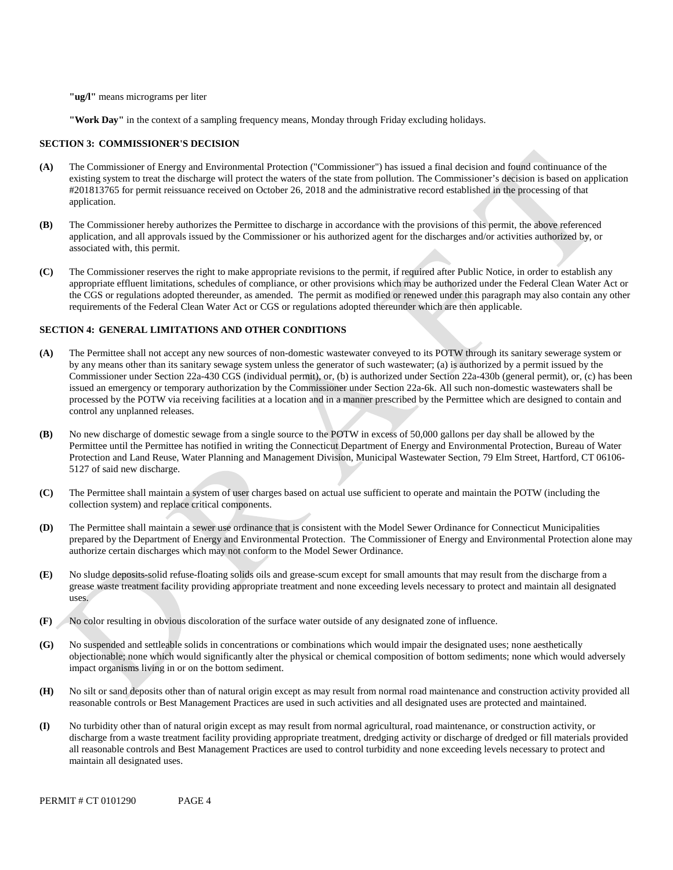**"ug/l"** means micrograms per liter

**"Work Day"** in the context of a sampling frequency means, Monday through Friday excluding holidays.

#### **SECTION 3: COMMISSIONER'S DECISION**

- **(A)** The Commissioner of Energy and Environmental Protection ("Commissioner") has issued a final decision and found continuance of the existing system to treat the discharge will protect the waters of the state from pollution. The Commissioner's decision is based on application #201813765 for permit reissuance received on October 26, 2018 and the administrative record established in the processing of that application.
- **(B)** The Commissioner hereby authorizes the Permittee to discharge in accordance with the provisions of this permit, the above referenced application, and all approvals issued by the Commissioner or his authorized agent for the discharges and/or activities authorized by, or associated with, this permit.
- **(C)** The Commissioner reserves the right to make appropriate revisions to the permit, if required after Public Notice, in order to establish any appropriate effluent limitations, schedules of compliance, or other provisions which may be authorized under the Federal Clean Water Act or the CGS or regulations adopted thereunder, as amended. The permit as modified or renewed under this paragraph may also contain any other requirements of the Federal Clean Water Act or CGS or regulations adopted thereunder which are then applicable.

#### **SECTION 4: GENERAL LIMITATIONS AND OTHER CONDITIONS**

- **(A)** The Permittee shall not accept any new sources of non-domestic wastewater conveyed to its POTW through its sanitary sewerage system or by any means other than its sanitary sewage system unless the generator of such wastewater; (a) is authorized by a permit issued by the Commissioner under Section 22a-430 CGS (individual permit), or, (b) is authorized under Section 22a-430b (general permit), or, (c) has been issued an emergency or temporary authorization by the Commissioner under Section 22a-6k. All such non-domestic wastewaters shall be processed by the POTW via receiving facilities at a location and in a manner prescribed by the Permittee which are designed to contain and control any unplanned releases.
- **(B)** No new discharge of domestic sewage from a single source to the POTW in excess of 50,000 gallons per day shall be allowed by the Permittee until the Permittee has notified in writing the Connecticut Department of Energy and Environmental Protection, Bureau of Water Protection and Land Reuse, Water Planning and Management Division, Municipal Wastewater Section, 79 Elm Street, Hartford, CT 06106- 5127 of said new discharge.
- **(C)** The Permittee shall maintain a system of user charges based on actual use sufficient to operate and maintain the POTW (including the collection system) and replace critical components.
- **(D)** The Permittee shall maintain a sewer use ordinance that is consistent with the Model Sewer Ordinance for Connecticut Municipalities prepared by the Department of Energy and Environmental Protection. The Commissioner of Energy and Environmental Protection alone may authorize certain discharges which may not conform to the Model Sewer Ordinance.
- **(E)** No sludge deposits-solid refuse-floating solids oils and grease-scum except for small amounts that may result from the discharge from a grease waste treatment facility providing appropriate treatment and none exceeding levels necessary to protect and maintain all designated uses.
- **(F)** No color resulting in obvious discoloration of the surface water outside of any designated zone of influence.
- **(G)** No suspended and settleable solids in concentrations or combinations which would impair the designated uses; none aesthetically objectionable; none which would significantly alter the physical or chemical composition of bottom sediments; none which would adversely impact organisms living in or on the bottom sediment.
- **(H)** No silt or sand deposits other than of natural origin except as may result from normal road maintenance and construction activity provided all reasonable controls or Best Management Practices are used in such activities and all designated uses are protected and maintained.
- **(I)** No turbidity other than of natural origin except as may result from normal agricultural, road maintenance, or construction activity, or discharge from a waste treatment facility providing appropriate treatment, dredging activity or discharge of dredged or fill materials provided all reasonable controls and Best Management Practices are used to control turbidity and none exceeding levels necessary to protect and maintain all designated uses.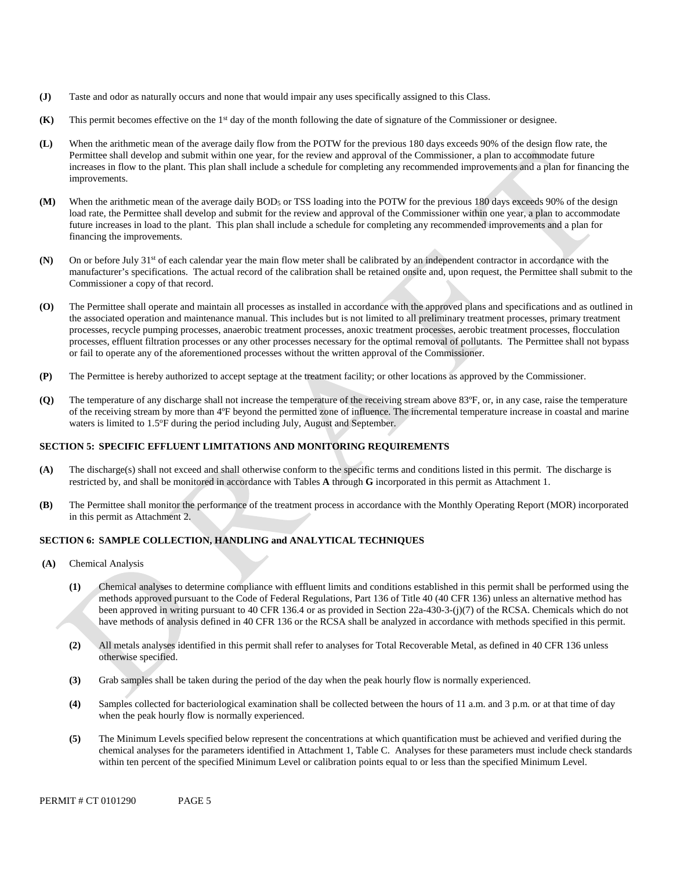- **(J)** Taste and odor as naturally occurs and none that would impair any uses specifically assigned to this Class.
- **(K)** This permit becomes effective on the 1<sup>st</sup> day of the month following the date of signature of the Commissioner or designee.
- improvements. **(L)** When the arithmetic mean of the average daily flow from the POTW for the previous 180 days exceeds 90% of the design flow rate, the Permittee shall develop and submit within one year, for the review and approval of the Commissioner, a plan to accommodate future increases in flow to the plant. This plan shall include a schedule for completing any recommended improvements and a plan for financing the
- **(M)** When the arithmetic mean of the average daily BOD<sub>5</sub> or TSS loading into the POTW for the previous 180 days exceeds 90% of the design load rate, the Permittee shall develop and submit for the review and approval of the Commissioner within one year, a plan to accommodate future increases in load to the plant. This plan shall include a schedule for completing any recommended improvements and a plan for financing the improvements.
- **(N)** On or before July 31<sup>st</sup> of each calendar year the main flow meter shall be calibrated by an independent contractor in accordance with the manufacturer's specifications. The actual record of the calibration shall be retained onsite and, upon request, the Permittee shall submit to the Commissioner a copy of that record.
- **(O)** The Permittee shall operate and maintain all processes as installed in accordance with the approved plans and specifications and as outlined in the associated operation and maintenance manual. This includes but is not limited to all preliminary treatment processes, primary treatment processes, recycle pumping processes, anaerobic treatment processes, anoxic treatment processes, aerobic treatment processes, flocculation processes, effluent filtration processes or any other processes necessary for the optimal removal of pollutants. The Permittee shall not bypass or fail to operate any of the aforementioned processes without the written approval of the Commissioner.
- **(P)** The Permittee is hereby authorized to accept septage at the treatment facility; or other locations as approved by the Commissioner.
- **(Q)** The temperature of any discharge shall not increase the temperature of the receiving stream above 83ºF, or, in any case, raise the temperature of the receiving stream by more than 4ºF beyond the permitted zone of influence. The incremental temperature increase in coastal and marine waters is limited to 1.5°F during the period including July, August and September.

### **SECTION 5: SPECIFIC EFFLUENT LIMITATIONS AND MONITORING REQUIREMENTS**

- restricted by, and shall be monitored in accordance with Tables **A** through **G** incorporated in this permit as Attachment 1. **(A)** The discharge(s) shall not exceed and shall otherwise conform to the specific terms and conditions listed in this permit. The discharge is
- in this permit as Attachment 2. **(B)** The Permittee shall monitor the performance of the treatment process in accordance with the Monthly Operating Report (MOR) incorporated

### **SECTION 6: SAMPLE COLLECTION, HANDLING and ANALYTICAL TECHNIQUES**

- **(A)** Chemical Analysis
	- **(1)** Chemical analyses to determine compliance with effluent limits and conditions established in this permit shall be performed using the methods approved pursuant to the Code of Federal Regulations, Part 136 of Title 40 (40 CFR 136) unless an alternative method has been approved in writing pursuant to 40 CFR 136.4 or as provided in Section 22a-430-3-(j)(7) of the RCSA. Chemicals which do not have methods of analysis defined in 40 CFR 136 or the RCSA shall be analyzed in accordance with methods specified in this permit.
	- **(2)** All metals analyses identified in this permit shall refer to analyses for Total Recoverable Metal, as defined in 40 CFR 136 unless otherwise specified.
	- **(3)** Grab samples shall be taken during the period of the day when the peak hourly flow is normally experienced.
	- **(4)** Samples collected for bacteriological examination shall be collected between the hours of 11 a.m. and 3 p.m. or at that time of day when the peak hourly flow is normally experienced.
	- chemical analyses for the parameters identified in Attachment 1, Table C. Analyses for these parameters must include check standards **(5)** The Minimum Levels specified below represent the concentrations at which quantification must be achieved and verified during the within ten percent of the specified Minimum Level or calibration points equal to or less than the specified Minimum Level.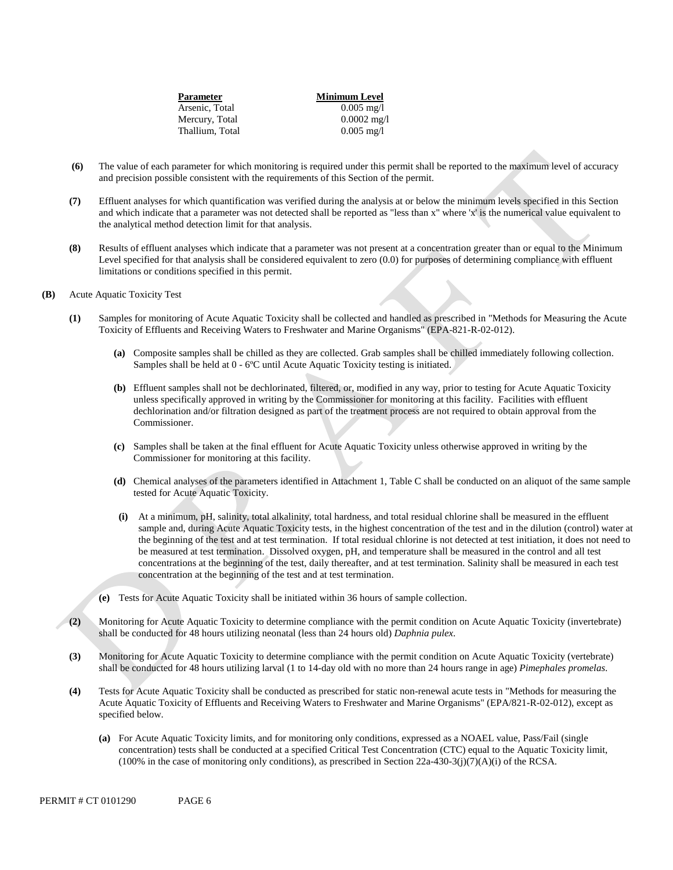| Parameter       | <b>Minimum Level</b> |
|-----------------|----------------------|
| Arsenic, Total  | $0.005 \text{ mg}/1$ |
| Mercury, Total  | $0.0002$ mg/l        |
| Thallium, Total | $0.005 \text{ mg/l}$ |
|                 |                      |

- **(6)** The value of each parameter for which monitoring is required under this permit shall be reported to the maximum level of accuracy and precision possible consistent with the requirements of this Section of the permit.
- **(7)** Effluent analyses for which quantification was verified during the analysis at or below the minimum levels specified in this Section and which indicate that a parameter was not detected shall be reported as "less than x" where 'x' is the numerical value equivalent to the analytical method detection limit for that analysis.
- **(8)** Results of effluent analyses which indicate that a parameter was not present at a concentration greater than or equal to the Minimum Level specified for that analysis shall be considered equivalent to zero (0.0) for purposes of determining compliance with effluent limitations or conditions specified in this permit.
- **(B)** Acute Aquatic Toxicity Test
	- **(1)** Samples for monitoring of Acute Aquatic Toxicity shall be collected and handled as prescribed in "Methods for Measuring the Acute Toxicity of Effluents and Receiving Waters to Freshwater and Marine Organisms" (EPA-821-R-02-012).
		- **(a)** Composite samples shall be chilled as they are collected. Grab samples shall be chilled immediately following collection. Samples shall be held at 0 - 6ºC until Acute Aquatic Toxicity testing is initiated.
		- **(b)** Effluent samples shall not be dechlorinated, filtered, or, modified in any way, prior to testing for Acute Aquatic Toxicity unless specifically approved in writing by the Commissioner for monitoring at this facility. Facilities with effluent dechlorination and/or filtration designed as part of the treatment process are not required to obtain approval from the Commissioner.
		- **(c)** Samples shall be taken at the final effluent for Acute Aquatic Toxicity unless otherwise approved in writing by the Commissioner for monitoring at this facility.
		- **(d)** Chemical analyses of the parameters identified in Attachment 1, Table C shall be conducted on an aliquot of the same sample tested for Acute Aquatic Toxicity.
		- **(i)** At a minimum, pH, salinity, total alkalinity, total hardness, and total residual chlorine shall be measured in the effluent sample and, during Acute Aquatic Toxicity tests, in the highest concentration of the test and in the dilution (control) water at the beginning of the test and at test termination. If total residual chlorine is not detected at test initiation, it does not need to be measured at test termination. Dissolved oxygen, pH, and temperature shall be measured in the control and all test concentrations at the beginning of the test, daily thereafter, and at test termination. Salinity shall be measured in each test concentration at the beginning of the test and at test termination.
		- **(e)** Tests for Acute Aquatic Toxicity shall be initiated within 36 hours of sample collection.
	- **(2)** Monitoring for Acute Aquatic Toxicity to determine compliance with the permit condition on Acute Aquatic Toxicity (invertebrate) shall be conducted for 48 hours utilizing neonatal (less than 24 hours old) *Daphnia pulex*.
	- **(3)** Monitoring for Acute Aquatic Toxicity to determine compliance with the permit condition on Acute Aquatic Toxicity (vertebrate) shall be conducted for 48 hours utilizing larval (1 to 14-day old with no more than 24 hours range in age) *Pimephales promelas*.
	- **(4)** Tests for Acute Aquatic Toxicity shall be conducted as prescribed for static non-renewal acute tests in "Methods for measuring the Acute Aquatic Toxicity of Effluents and Receiving Waters to Freshwater and Marine Organisms" (EPA/821-R-02-012), except as specified below.
		- **(a)** For Acute Aquatic Toxicity limits, and for monitoring only conditions, expressed as a NOAEL value, Pass/Fail (single concentration) tests shall be conducted at a specified Critical Test Concentration (CTC) equal to the Aquatic Toxicity limit,  $(100\%$  in the case of monitoring only conditions), as prescribed in Section 22a-430-3(j)(7)(A)(i) of the RCSA.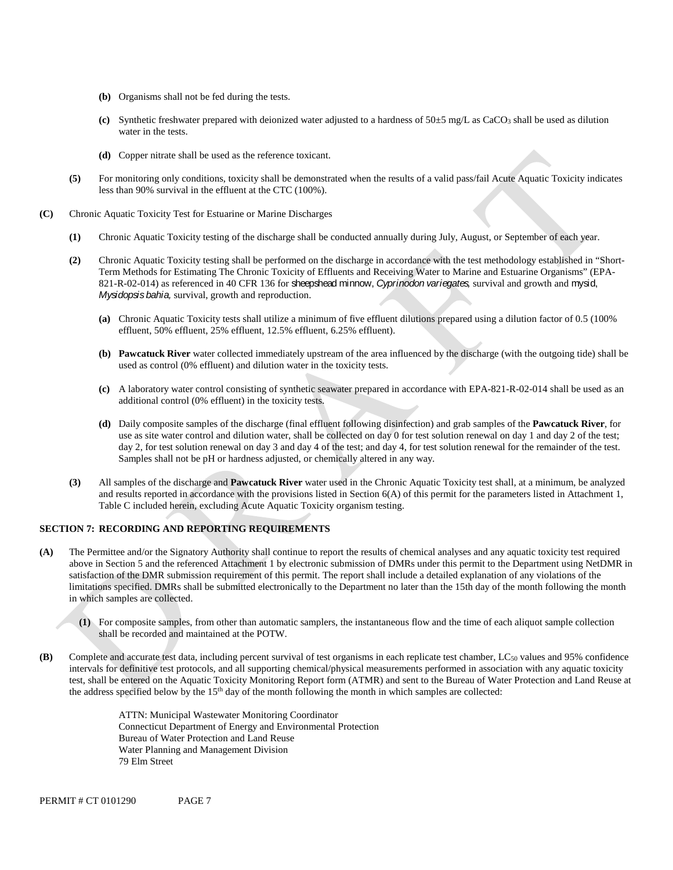- **(b)** Organisms shall not be fed during the tests.
- **(c)** Synthetic freshwater prepared with deionized water adjusted to a hardness of 50±5 mg/L as CaCO3 shall be used as dilution water in the tests.
- **(d)** Copper nitrate shall be used as the reference toxicant.
- **(5)** For monitoring only conditions, toxicity shall be demonstrated when the results of a valid pass/fail Acute Aquatic Toxicity indicates less than 90% survival in the effluent at the CTC (100%).
- **(C)** Chronic Aquatic Toxicity Test for Estuarine or Marine Discharges
	- **(1)** Chronic Aquatic Toxicity testing of the discharge shall be conducted annually during July, August, or September of each year.
	- **(2)** Chronic Aquatic Toxicity testing shall be performed on the discharge in accordance with the test methodology established in "Short-Term Methods for Estimating The Chronic Toxicity of Effluents and Receiving Water to Marine and Estuarine Organisms" (EPA-821-R-02-014) as referenced in 40 CFR 136 for sheepshead minnow, *Cyprinodon variegates,* survival and growth and mysid, *Mysidopsis bahia,* survival, growth and reproduction.
		- **(a)** Chronic Aquatic Toxicity tests shall utilize a minimum of five effluent dilutions prepared using a dilution factor of 0.5 (100% effluent, 50% effluent, 25% effluent, 12.5% effluent, 6.25% effluent).
		- **(b) Pawcatuck River** water collected immediately upstream of the area influenced by the discharge (with the outgoing tide) shall be used as control (0% effluent) and dilution water in the toxicity tests.
		- **(c)** A laboratory water control consisting of synthetic seawater prepared in accordance with EPA-821-R-02-014 shall be used as an additional control (0% effluent) in the toxicity tests.
		- **(d)** Daily composite samples of the discharge (final effluent following disinfection) and grab samples of the **Pawcatuck River**, for use as site water control and dilution water, shall be collected on day 0 for test solution renewal on day 1 and day 2 of the test; day 2, for test solution renewal on day 3 and day 4 of the test; and day 4, for test solution renewal for the remainder of the test. Samples shall not be pH or hardness adjusted, or chemically altered in any way.
	- **(3)** All samples of the discharge and **Pawcatuck River** water used in the Chronic Aquatic Toxicity test shall, at a minimum, be analyzed and results reported in accordance with the provisions listed in Section  $6(A)$  of this permit for the parameters listed in Attachment 1, Table C included herein, excluding Acute Aquatic Toxicity organism testing.

### **SECTION 7: RECORDING AND REPORTING REQUIREMENTS**

- **(A)** The Permittee and/or the Signatory Authority shall continue to report the results of chemical analyses and any aquatic toxicity test required above in Section 5 and the referenced Attachment 1 by electronic submission of DMRs under this permit to the Department using NetDMR in satisfaction of the DMR submission requirement of this permit. The report shall include a detailed explanation of any violations of the limitations specified. DMRs shall be submitted electronically to the Department no later than the 15th day of the month following the month in which samples are collected.
	- **(1)** For composite samples, from other than automatic samplers, the instantaneous flow and the time of each aliquot sample collection shall be recorded and maintained at the POTW.
- **(B)** Complete and accurate test data, including percent survival of test organisms in each replicate test chamber, LC50 values and 95% confidence intervals for definitive test protocols, and all supporting chemical/physical measurements performed in association with any aquatic toxicity test, shall be entered on the Aquatic Toxicity Monitoring Report form (ATMR) and sent to the Bureau of Water Protection and Land Reuse at the address specified below by the 15th day of the month following the month in which samples are collected:

ATTN: Municipal Wastewater Monitoring Coordinator Connecticut Department of Energy and Environmental Protection Bureau of Water Protection and Land Reuse Water Planning and Management Division 79 Elm Street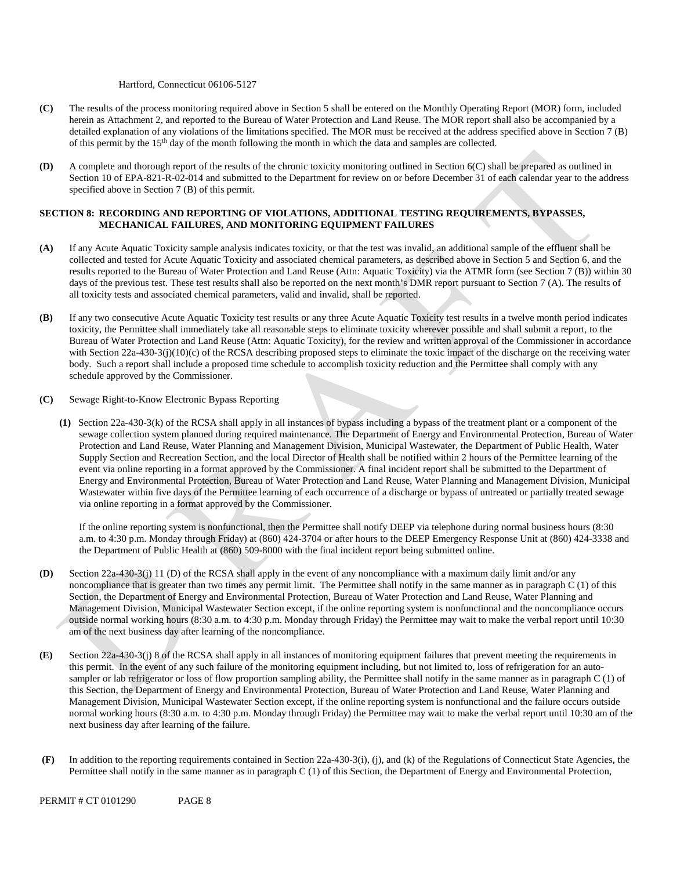#### Hartford, Connecticut 06106-5127

- **(C)** The results of the process monitoring required above in Section 5 shall be entered on the Monthly Operating Report (MOR) form, included herein as Attachment 2, and reported to the Bureau of Water Protection and Land Reuse. The MOR report shall also be accompanied by a detailed explanation of any violations of the limitations specified. The MOR must be received at the address specified above in Section 7 (B) of this permit by the 15th day of the month following the month in which the data and samples are collected.
- **(D)** A complete and thorough report of the results of the chronic toxicity monitoring outlined in Section 6(C) shall be prepared as outlined in Section 10 of EPA-821-R-02-014 and submitted to the Department for review on or before December 31 of each calendar year to the address specified above in Section 7 (B) of this permit.

#### **SECTION 8: RECORDING AND REPORTING OF VIOLATIONS, ADDITIONAL TESTING REQUIREMENTS, BYPASSES, MECHANICAL FAILURES, AND MONITORING EQUIPMENT FAILURES**

- **(A)** If any Acute Aquatic Toxicity sample analysis indicates toxicity, or that the test was invalid, an additional sample of the effluent shall be collected and tested for Acute Aquatic Toxicity and associated chemical parameters, as described above in Section 5 and Section 6, and the results reported to the Bureau of Water Protection and Land Reuse (Attn: Aquatic Toxicity) via the ATMR form (see Section 7 (B)) within 30 days of the previous test. These test results shall also be reported on the next month's DMR report pursuant to Section 7 (A). The results of all toxicity tests and associated chemical parameters, valid and invalid, shall be reported.
- **(B)** If any two consecutive Acute Aquatic Toxicity test results or any three Acute Aquatic Toxicity test results in a twelve month period indicates toxicity, the Permittee shall immediately take all reasonable steps to eliminate toxicity wherever possible and shall submit a report, to the Bureau of Water Protection and Land Reuse (Attn: Aquatic Toxicity), for the review and written approval of the Commissioner in accordance with Section 22a-430-3(j)(10)(c) of the RCSA describing proposed steps to eliminate the toxic impact of the discharge on the receiving water body. Such a report shall include a proposed time schedule to accomplish toxicity reduction and the Permittee shall comply with any schedule approved by the Commissioner.
- **(C)** Sewage Right-to-Know Electronic Bypass Reporting
	- **(1)** Section 22a-430-3(k) of the RCSA shall apply in all instances of bypass including a bypass of the treatment plant or a component of the sewage collection system planned during required maintenance. The Department of Energy and Environmental Protection, Bureau of Water Protection and Land Reuse, Water Planning and Management Division, Municipal Wastewater, the Department of Public Health, Water Supply Section and Recreation Section, and the local Director of Health shall be notified within 2 hours of the Permittee learning of the event via online reporting in a format approved by the Commissioner. A final incident report shall be submitted to the Department of Energy and Environmental Protection, Bureau of Water Protection and Land Reuse, Water Planning and Management Division, Municipal Wastewater within five days of the Permittee learning of each occurrence of a discharge or bypass of untreated or partially treated sewage via online reporting in a format approved by the Commissioner.

If the online reporting system is nonfunctional, then the Permittee shall notify DEEP via telephone during normal business hours (8:30 a.m. to 4:30 p.m. Monday through Friday) at (860) 424-3704 or after hours to the DEEP Emergency Response Unit at (860) 424-3338 and the Department of Public Health at (860) 509-8000 with the final incident report being submitted online.

- **(D)** Section 22a-430-3(j) 11 (D) of the RCSA shall apply in the event of any noncompliance with a maximum daily limit and/or any noncompliance that is greater than two times any permit limit. The Permittee shall notify in the same manner as in paragraph C (1) of this Section, the Department of Energy and Environmental Protection, Bureau of Water Protection and Land Reuse, Water Planning and Management Division, Municipal Wastewater Section except, if the online reporting system is nonfunctional and the noncompliance occurs outside normal working hours (8:30 a.m. to 4:30 p.m. Monday through Friday) the Permittee may wait to make the verbal report until 10:30 am of the next business day after learning of the noncompliance.
- **(E)** Section 22a-430-3(j) 8 of the RCSA shall apply in all instances of monitoring equipment failures that prevent meeting the requirements in this permit. In the event of any such failure of the monitoring equipment including, but not limited to, loss of refrigeration for an autosampler or lab refrigerator or loss of flow proportion sampling ability, the Permittee shall notify in the same manner as in paragraph C (1) of this Section, the Department of Energy and Environmental Protection, Bureau of Water Protection and Land Reuse, Water Planning and Management Division, Municipal Wastewater Section except, if the online reporting system is nonfunctional and the failure occurs outside normal working hours (8:30 a.m. to 4:30 p.m. Monday through Friday) the Permittee may wait to make the verbal report until 10:30 am of the next business day after learning of the failure.
- **(F)** In addition to the reporting requirements contained in Section 22a-430-3(i), (j), and (k) of the Regulations of Connecticut State Agencies, the Permittee shall notify in the same manner as in paragraph C (1) of this Section, the Department of Energy and Environmental Protection,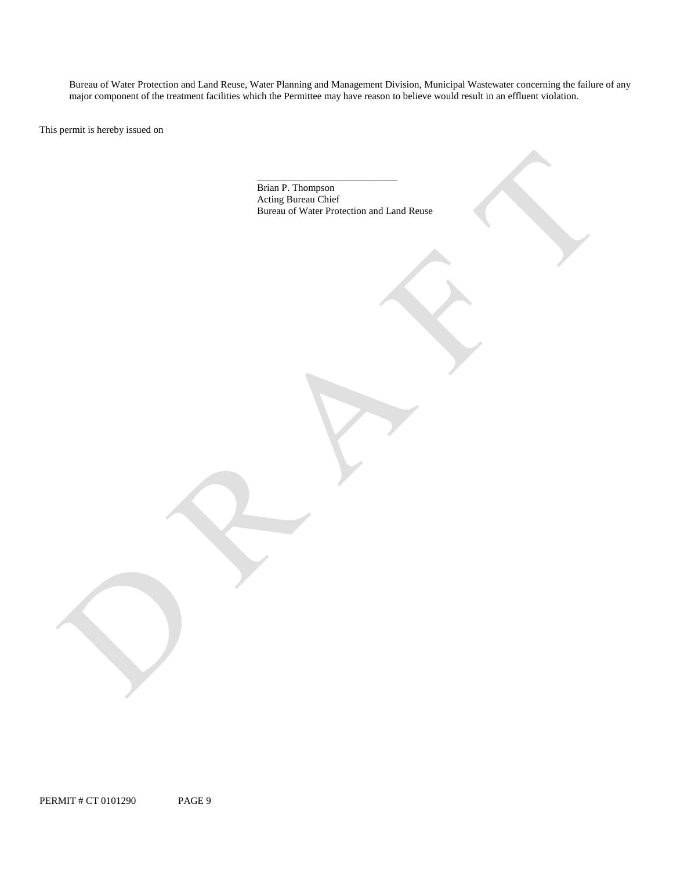Bureau of Water Protection and Land Reuse, Water Planning and Management Division, Municipal Wastewater concerning the failure of any major component of the treatment facilities which the Permittee may have reason to belie major component of the treatment facilities which the Permittee may have reason to believe would result in an effluent violation. This permit is hereby issued on

Bureau of Water Protection and Land Reuse Brian P. Thompson Acting Bureau Chief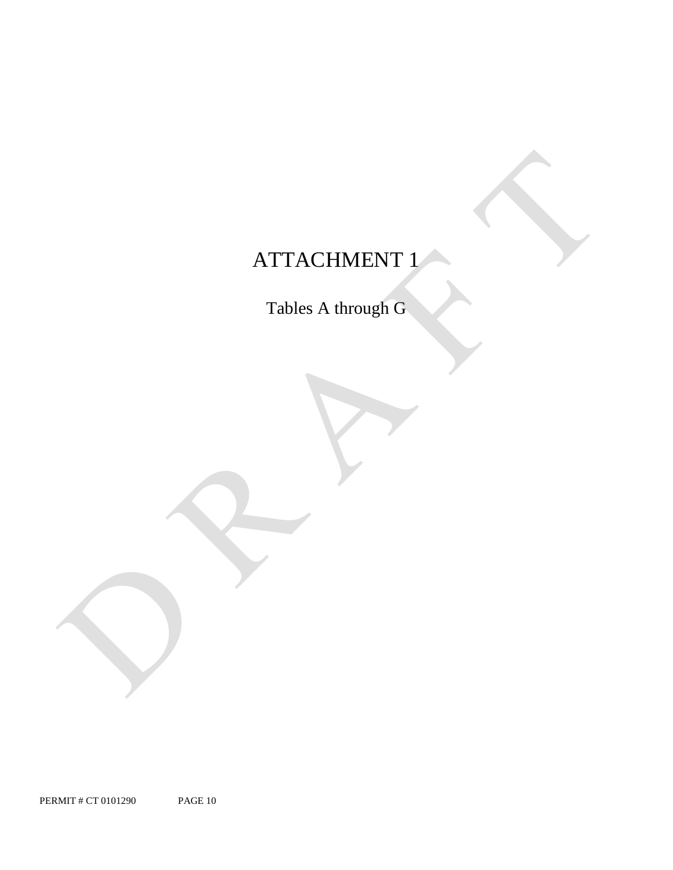### ATTACHMENT 1

Tables A through G

PERMIT # CT 0101290 PAGE 10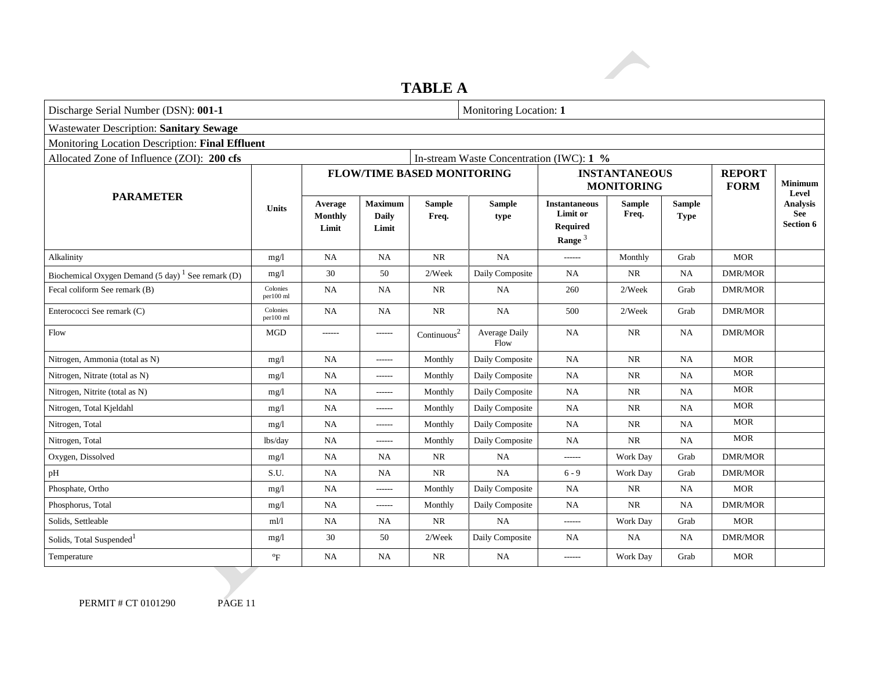### **TABLE A**

| Discharge Serial Number (DSN): 001-1            |                                    |                                         |                         |                              |                                                                         | Monitoring Location: 1 |                                             |                                           |                                     |
|-------------------------------------------------|------------------------------------|-----------------------------------------|-------------------------|------------------------------|-------------------------------------------------------------------------|------------------------|---------------------------------------------|-------------------------------------------|-------------------------------------|
|                                                 |                                    |                                         |                         |                              |                                                                         |                        |                                             |                                           |                                     |
| Monitoring Location Description: Final Effluent |                                    |                                         |                         |                              |                                                                         |                        |                                             |                                           |                                     |
|                                                 |                                    |                                         |                         |                              |                                                                         |                        |                                             |                                           |                                     |
|                                                 |                                    |                                         |                         |                              |                                                                         |                        |                                             | <b>REPORT</b><br><b>FORM</b>              | <b>Minimum</b><br>Level             |
| <b>Units</b>                                    | Average<br><b>Monthly</b><br>Limit | <b>Maximum</b><br><b>Daily</b><br>Limit | <b>Sample</b><br>Freq.  | <b>Sample</b><br>type        | <b>Instantaneous</b><br><b>Limit or</b><br><b>Required</b><br>Range $3$ | <b>Sample</b><br>Freq. | <b>Sample</b><br><b>Type</b>                |                                           | <b>Analysis</b><br>See<br>Section 6 |
| mg/l                                            | NA                                 | <b>NA</b>                               | NR                      | <b>NA</b>                    | ------                                                                  | Monthly                | Grab                                        | <b>MOR</b>                                |                                     |
| mg/l                                            | 30                                 | 50                                      | 2/Week                  | Daily Composite              | <b>NA</b>                                                               | <b>NR</b>              | <b>NA</b>                                   | <b>DMR/MOR</b>                            |                                     |
| Colonies<br>per100 ml                           | NA                                 | <b>NA</b>                               | <b>NR</b>               | NA                           | 260                                                                     | 2/Week                 | Grab                                        | <b>DMR/MOR</b>                            |                                     |
| Colonies<br>per100 ml                           | <b>NA</b>                          | <b>NA</b>                               | <b>NR</b>               | <b>NA</b>                    | 500                                                                     | 2/Week                 | Grab                                        | <b>DMR/MOR</b>                            |                                     |
| <b>MGD</b>                                      | ------                             | ------                                  | Continuous <sup>2</sup> | <b>Average Daily</b><br>Flow | NA                                                                      | <b>NR</b>              | <b>NA</b>                                   | <b>DMR/MOR</b>                            |                                     |
| mg/1                                            | NA                                 | ------                                  | Monthly                 | Daily Composite              | NA                                                                      | <b>NR</b>              | <b>NA</b>                                   | <b>MOR</b>                                |                                     |
| mg/l                                            | NA                                 | ------                                  | Monthly                 | Daily Composite              | <b>NA</b>                                                               | <b>NR</b>              | <b>NA</b>                                   | <b>MOR</b>                                |                                     |
| mg/l                                            | <b>NA</b>                          | ------                                  | Monthly                 | Daily Composite              | NA                                                                      | <b>NR</b>              | NA                                          | <b>MOR</b>                                |                                     |
| mg/l                                            | NA                                 | ------                                  | Monthly                 | Daily Composite              | <b>NA</b>                                                               | $\rm NR$               | <b>NA</b>                                   | <b>MOR</b>                                |                                     |
| mg/l                                            | NA                                 | ------                                  | Monthly                 | Daily Composite              | <b>NA</b>                                                               | NR                     | <b>NA</b>                                   | <b>MOR</b>                                |                                     |
| lbs/day                                         | NA                                 | -------                                 | Monthly                 | Daily Composite              | <b>NA</b>                                                               | <b>NR</b>              | <b>NA</b>                                   | <b>MOR</b>                                |                                     |
| mg/l                                            | NA                                 | <b>NA</b>                               | NR                      | NA                           | ------                                                                  | Work Day               | Grab                                        | <b>DMR/MOR</b>                            |                                     |
| S.U.                                            | <b>NA</b>                          | <b>NA</b>                               | <b>NR</b>               | NA                           | $6 - 9$                                                                 | Work Day               | Grab                                        | <b>DMR/MOR</b>                            |                                     |
| mg/1                                            | $\rm NA$                           | -------                                 | Monthly                 | Daily Composite              | NA                                                                      | $\rm NR$               | NA                                          | <b>MOR</b>                                |                                     |
| mg/1                                            | <b>NA</b>                          | ------                                  | Monthly                 | Daily Composite              | NA                                                                      | <b>NR</b>              | <b>NA</b>                                   | <b>DMR/MOR</b>                            |                                     |
| ml/l                                            | NA                                 | NA                                      | NR                      | NA                           | ------                                                                  | Work Day               | Grab                                        | <b>MOR</b>                                |                                     |
| mg/l                                            | 30                                 | 50                                      | 2/Week                  | Daily Composite              | NA.                                                                     | NA                     | NA                                          | DMR/MOR                                   |                                     |
| $\mathrm{P}_{\mathrm{F}}$                       | NA                                 | <b>NA</b>                               | <b>NR</b>               | <b>NA</b>                    | ------                                                                  | Work Day               | Grab                                        | <b>MOR</b>                                |                                     |
|                                                 |                                    |                                         |                         |                              | <b>FLOW/TIME BASED MONITORING</b>                                       |                        | In-stream Waste Concentration (IWC): $1 \%$ | <b>INSTANTANEOUS</b><br><b>MONITORING</b> |                                     |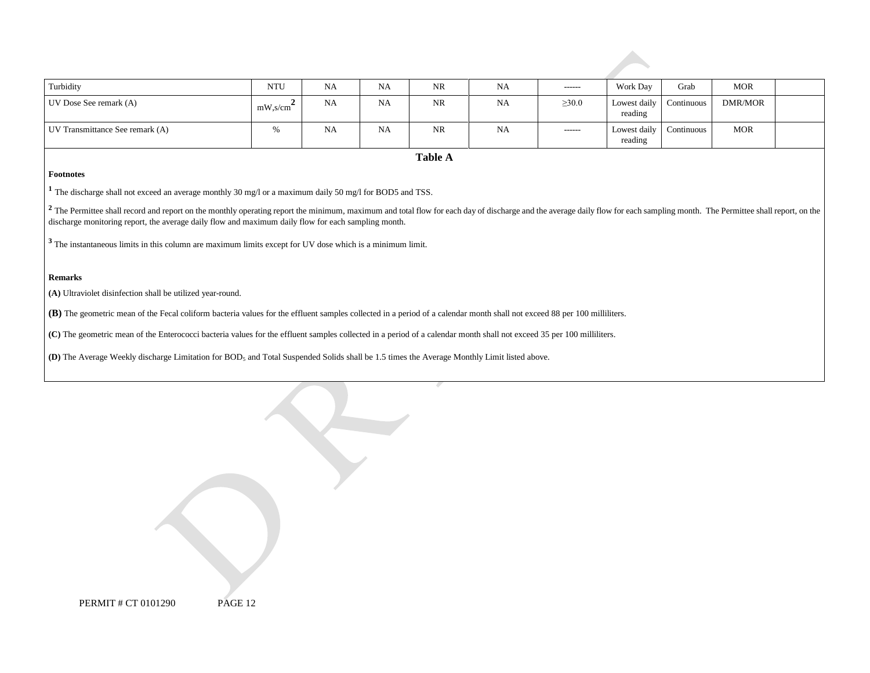| Turbidity                                                                                                                                                                                                                                                                                                                                      | <b>NTU</b>              | <b>NA</b> | <b>NA</b> | NR             | <b>NA</b> | ------      | Work Day                | Grab       | <b>MOR</b> |  |
|------------------------------------------------------------------------------------------------------------------------------------------------------------------------------------------------------------------------------------------------------------------------------------------------------------------------------------------------|-------------------------|-----------|-----------|----------------|-----------|-------------|-------------------------|------------|------------|--|
| UV Dose See remark (A)                                                                                                                                                                                                                                                                                                                         | $mW$ ,s/cm <sup>2</sup> | <b>NA</b> | <b>NA</b> | NR             | <b>NA</b> | $\geq 30.0$ | Lowest daily<br>reading | Continuous | DMR/MOR    |  |
| UV Transmittance See remark (A)                                                                                                                                                                                                                                                                                                                | %                       | NA        | <b>NA</b> | NR             | <b>NA</b> | ------      | Lowest daily<br>reading | Continuous | <b>MOR</b> |  |
|                                                                                                                                                                                                                                                                                                                                                |                         |           |           | <b>Table A</b> |           |             |                         |            |            |  |
| Footnotes                                                                                                                                                                                                                                                                                                                                      |                         |           |           |                |           |             |                         |            |            |  |
| The discharge shall not exceed an average monthly 30 mg/l or a maximum daily 50 mg/l for BOD5 and TSS.                                                                                                                                                                                                                                         |                         |           |           |                |           |             |                         |            |            |  |
| <sup>2</sup> The Permittee shall record and report on the monthly operating report the minimum, maximum and total flow for each day of discharge and the average daily flow for each sampling month. The Permittee shall report, on the<br>discharge monitoring report, the average daily flow and maximum daily flow for each sampling month. |                         |           |           |                |           |             |                         |            |            |  |
| $3$ The instantaneous limits in this column are maximum limits except for UV dose which is a minimum limit.                                                                                                                                                                                                                                    |                         |           |           |                |           |             |                         |            |            |  |
| <b>Remarks</b>                                                                                                                                                                                                                                                                                                                                 |                         |           |           |                |           |             |                         |            |            |  |
| (A) Ultraviolet disinfection shall be utilized year-round.                                                                                                                                                                                                                                                                                     |                         |           |           |                |           |             |                         |            |            |  |
| (B) The geometric mean of the Fecal coliform bacteria values for the effluent samples collected in a period of a calendar month shall not exceed 88 per 100 milliliters.                                                                                                                                                                       |                         |           |           |                |           |             |                         |            |            |  |
| (C) The geometric mean of the Enterococci bacteria values for the effluent samples collected in a period of a calendar month shall not exceed 35 per 100 milliliters.                                                                                                                                                                          |                         |           |           |                |           |             |                         |            |            |  |
| (D) The Average Weekly discharge Limitation for $BOD_5$ and Total Suspended Solids shall be 1.5 times the Average Monthly Limit listed above.                                                                                                                                                                                                  |                         |           |           |                |           |             |                         |            |            |  |

| PERMIT # CT 0101290 | <b>PAGE 12</b> |
|---------------------|----------------|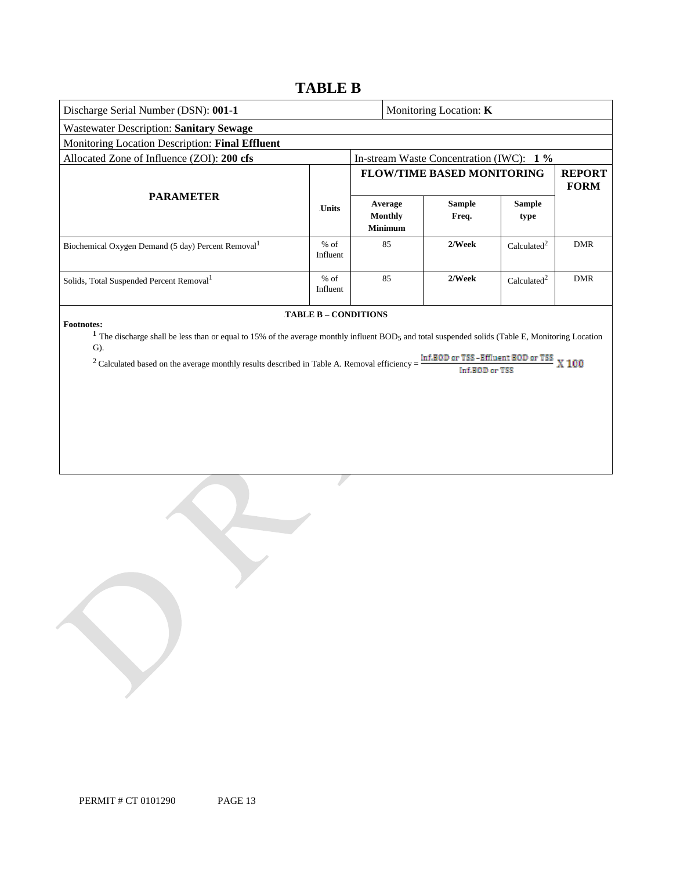### **TABLE B**

| Discharge Serial Number (DSN): 001-1                                                                                                                                                                                                                                                                                                                                                                                                  |                    |  | Monitoring Location: K               |                                          |                         |                              |  |  |  |  |
|---------------------------------------------------------------------------------------------------------------------------------------------------------------------------------------------------------------------------------------------------------------------------------------------------------------------------------------------------------------------------------------------------------------------------------------|--------------------|--|--------------------------------------|------------------------------------------|-------------------------|------------------------------|--|--|--|--|
| <b>Wastewater Description: Sanitary Sewage</b>                                                                                                                                                                                                                                                                                                                                                                                        |                    |  |                                      |                                          |                         |                              |  |  |  |  |
| Monitoring Location Description: Final Effluent                                                                                                                                                                                                                                                                                                                                                                                       |                    |  |                                      |                                          |                         |                              |  |  |  |  |
| Allocated Zone of Influence (ZOI): 200 cfs                                                                                                                                                                                                                                                                                                                                                                                            |                    |  |                                      | In-stream Waste Concentration (IWC): 1 % |                         |                              |  |  |  |  |
|                                                                                                                                                                                                                                                                                                                                                                                                                                       |                    |  |                                      | <b>FLOW/TIME BASED MONITORING</b>        |                         | <b>REPORT</b><br><b>FORM</b> |  |  |  |  |
| <b>PARAMETER</b>                                                                                                                                                                                                                                                                                                                                                                                                                      | <b>Units</b>       |  | Average<br>Monthly<br><b>Minimum</b> | <b>Sample</b><br>Freq.                   | <b>Sample</b><br>type   |                              |  |  |  |  |
| Biochemical Oxygen Demand (5 day) Percent Removal <sup>1</sup>                                                                                                                                                                                                                                                                                                                                                                        | $%$ of<br>Influent |  | 85                                   | 2/Week                                   | Calculated <sup>2</sup> | <b>DMR</b>                   |  |  |  |  |
| Solids, Total Suspended Percent Removal <sup>1</sup>                                                                                                                                                                                                                                                                                                                                                                                  | $%$ of<br>Influent |  | 85                                   | 2/Week                                   | Calculated <sup>2</sup> | <b>DMR</b>                   |  |  |  |  |
| <b>TABLE B - CONDITIONS</b><br><b>Footnotes:</b><br><sup>1</sup> The discharge shall be less than or equal to 15% of the average monthly influent BOD <sub>5</sub> and total suspended solids (Table E, Monitoring Location<br>$\mathbf{G}$ ).<br>Inf.BOD or TSS-Effluent BOD or TSS<br><sup>2</sup> Calculated based on the average monthly results described in Table A. Removal efficiency =<br>X <sub>100</sub><br>Inf.BOD or TSS |                    |  |                                      |                                          |                         |                              |  |  |  |  |

J.

PERMIT # CT 0101290 PAGE 13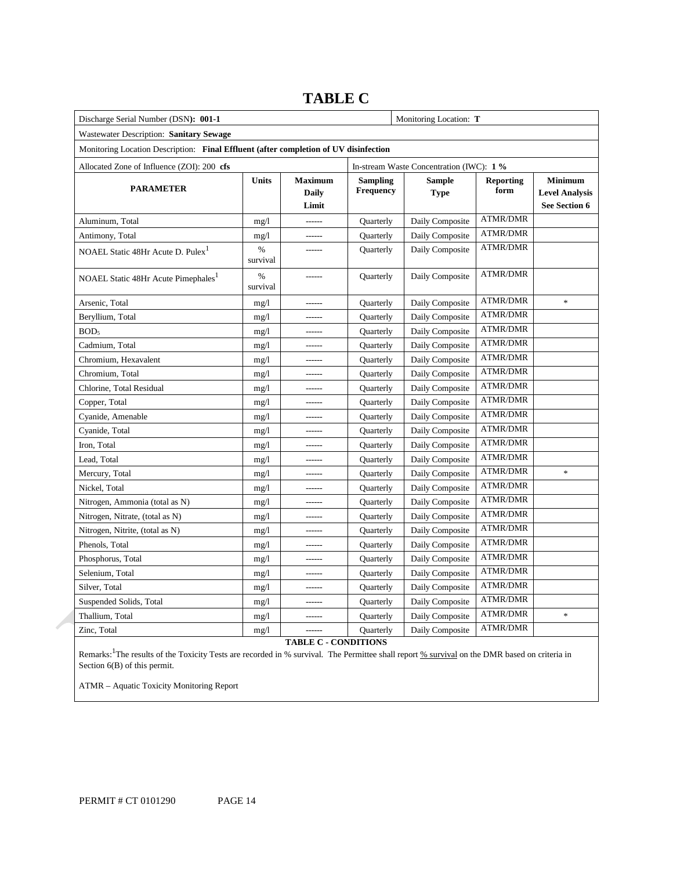| Discharge Serial Number (DSN): 001-1                                                 |                  | Monitoring Location: T                  |           |                                          |                              |                                   |                                                          |
|--------------------------------------------------------------------------------------|------------------|-----------------------------------------|-----------|------------------------------------------|------------------------------|-----------------------------------|----------------------------------------------------------|
| Wastewater Description: Sanitary Sewage                                              |                  |                                         |           |                                          |                              |                                   |                                                          |
| Monitoring Location Description: Final Effluent (after completion of UV disinfection |                  |                                         |           |                                          |                              |                                   |                                                          |
| Allocated Zone of Influence (ZOI): 200 cfs                                           |                  |                                         |           | In-stream Waste Concentration (IWC): 1 % |                              |                                   |                                                          |
| <b>PARAMETER</b>                                                                     | <b>Units</b>     | <b>Maximum</b><br><b>Daily</b><br>Limit |           | <b>Sampling</b><br>Frequency             | <b>Sample</b><br><b>Type</b> | <b>Reporting</b><br>form          | <b>Minimum</b><br><b>Level Analysis</b><br>See Section 6 |
| Aluminum, Total                                                                      | mg/1             | ------                                  | Quarterly | Daily Composite                          | <b>ATMR/DMR</b>              |                                   |                                                          |
| Antimony, Total                                                                      | mg/1             | $--- - -$                               | Quarterly | Daily Composite                          | ATMR/DMR                     |                                   |                                                          |
| NOAEL Static 48Hr Acute D. Pulex <sup>1</sup>                                        | $\%$<br>survival | ------                                  | Quarterly | Daily Composite                          | <b>ATMR/DMR</b>              |                                   |                                                          |
| NOAEL Static 48Hr Acute Pimephales <sup>1</sup>                                      | $\%$<br>survival |                                         | Quarterly | Daily Composite                          | <b>ATMR/DMR</b>              |                                   |                                                          |
| Arsenic, Total                                                                       | mg/1             | $- - - - - -$                           | Quarterly | Daily Composite                          | <b>ATMR/DMR</b>              | $\frac{d\mathbf{r}}{dt}$          |                                                          |
| Beryllium, Total                                                                     | mg/1             |                                         | Quarterly | Daily Composite                          | <b>ATMR/DMR</b>              |                                   |                                                          |
| BOD <sub>5</sub>                                                                     | mg/1             | ------                                  | Quarterly | Daily Composite                          | <b>ATMR/DMR</b>              |                                   |                                                          |
| Cadmium, Total                                                                       | mg/1             |                                         | Quarterly | Daily Composite                          | <b>ATMR/DMR</b>              |                                   |                                                          |
| Chromium, Hexavalent                                                                 | mg/1             | ------                                  | Quarterly | Daily Composite                          | <b>ATMR/DMR</b>              |                                   |                                                          |
| Chromium, Total                                                                      | mg/1             | ------                                  | Quarterly | Daily Composite                          | <b>ATMR/DMR</b>              |                                   |                                                          |
| Chlorine, Total Residual                                                             | mg/1             | ------                                  | Quarterly | Daily Composite                          | <b>ATMR/DMR</b>              |                                   |                                                          |
| Copper, Total                                                                        | mg/1             | ------                                  | Quarterly | Daily Composite                          | <b>ATMR/DMR</b>              |                                   |                                                          |
| Cyanide, Amenable                                                                    | mg/1             | ------                                  | Quarterly | Daily Composite                          | <b>ATMR/DMR</b>              |                                   |                                                          |
| Cyanide, Total                                                                       | mg/1             | ------                                  | Quarterly | Daily Composite                          | <b>ATMR/DMR</b>              |                                   |                                                          |
| Iron, Total                                                                          | mg/1             | ------                                  | Quarterly | Daily Composite                          | <b>ATMR/DMR</b>              |                                   |                                                          |
| Lead, Total                                                                          | mg/1             | ------                                  | Quarterly | Daily Composite                          | <b>ATMR/DMR</b>              |                                   |                                                          |
| Mercury, Total                                                                       | mg/1             | ------                                  | Quarterly | Daily Composite                          | <b>ATMR/DMR</b>              | $\frac{d\mathbf{x}}{d\mathbf{x}}$ |                                                          |
| Nickel, Total                                                                        | mg/1             | ------                                  | Quarterly | Daily Composite                          | <b>ATMR/DMR</b>              |                                   |                                                          |
| Nitrogen, Ammonia (total as N)                                                       | mg/1             | ------                                  | Quarterly | Daily Composite                          | <b>ATMR/DMR</b>              |                                   |                                                          |
| Nitrogen, Nitrate, (total as N)                                                      | mg/1             | ------                                  | Quarterly | Daily Composite                          | <b>ATMR/DMR</b>              |                                   |                                                          |
| Nitrogen, Nitrite, (total as N)                                                      | mg/1             |                                         | Quarterly | Daily Composite                          | <b>ATMR/DMR</b>              |                                   |                                                          |
| Phenols, Total                                                                       | mg/1             | ------                                  | Quarterly | Daily Composite                          | <b>ATMR/DMR</b>              |                                   |                                                          |
| Phosphorus, Total                                                                    | mg/1             | ------                                  | Quarterly | Daily Composite                          | <b>ATMR/DMR</b>              |                                   |                                                          |
| Selenium, Total                                                                      | mg/1             | ------                                  | Quarterly | Daily Composite                          | <b>ATMR/DMR</b>              |                                   |                                                          |
| Silver, Total                                                                        | mg/1             | ------                                  | Quarterly | Daily Composite                          | <b>ATMR/DMR</b>              |                                   |                                                          |
| Suspended Solids, Total                                                              | mg/1             | ------                                  | Quarterly | Daily Composite                          | <b>ATMR/DMR</b>              |                                   |                                                          |
| Thallium, Total                                                                      | mg/1             | ------                                  | Quarterly | Daily Composite                          | <b>ATMR/DMR</b>              | $\frac{d\mathbf{r}}{dt}$          |                                                          |
| Zinc, Total                                                                          | mg/1             |                                         | Quarterly | Daily Composite                          | <b>ATMR/DMR</b>              |                                   |                                                          |

### **TABLE C**

**TABLE C - CONDITIONS** 

 Section 6(B) of this permit. Remarks: <sup>1</sup>The results of the Toxicity Tests are recorded in % survival. The Permittee shall report % survival on the DMR based on criteria in

ATMR – Aquatic Toxicity Monitoring Report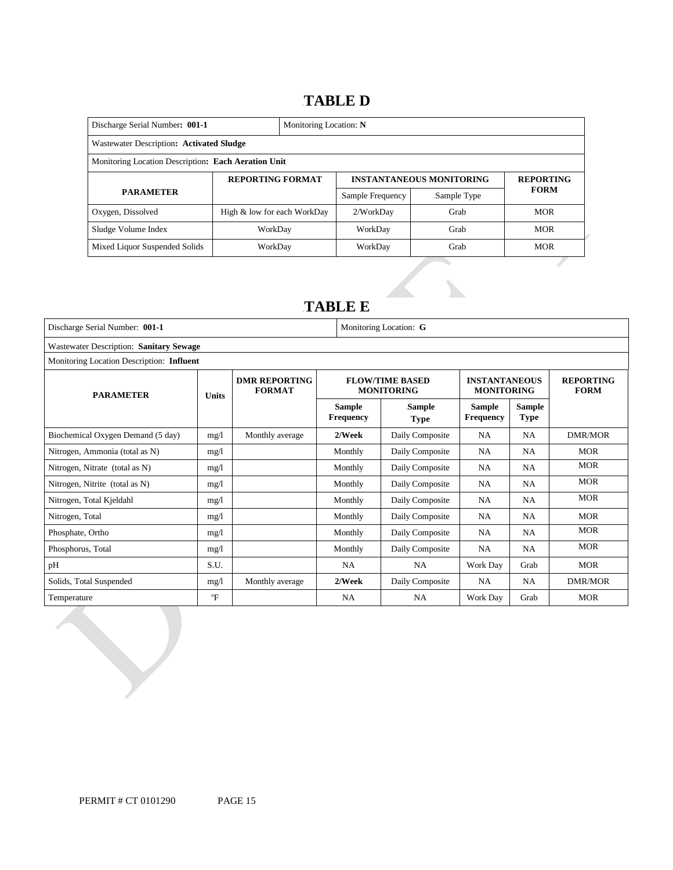### 13B**TABLE D**

| Discharge Serial Number: 001-1                      |                             | Monitoring Location: N |                                 |                  |             |  |  |  |
|-----------------------------------------------------|-----------------------------|------------------------|---------------------------------|------------------|-------------|--|--|--|
| Wastewater Description: Activated Sludge            |                             |                        |                                 |                  |             |  |  |  |
| Monitoring Location Description: Each Aeration Unit |                             |                        |                                 |                  |             |  |  |  |
|                                                     | <b>REPORTING FORMAT</b>     |                        | <b>INSTANTANEOUS MONITORING</b> | <b>REPORTING</b> |             |  |  |  |
| <b>PARAMETER</b>                                    |                             |                        | Sample Frequency                | Sample Type      | <b>FORM</b> |  |  |  |
| Oxygen, Dissolved                                   | High & low for each WorkDay |                        | 2/WorkDay                       | Grab             | <b>MOR</b>  |  |  |  |
| Sludge Volume Index                                 | WorkDay                     |                        | WorkDay                         | Grab             | <b>MOR</b>  |  |  |  |
| Mixed Liquor Suspended Solids                       | WorkDay                     |                        | WorkDay                         | Grab             | <b>MOR</b>  |  |  |  |

### 14B**TABLE E**

| Discharge Serial Number: 001-1          |                                           | Monitoring Location: G                |                            |                                             |                                           |                              |                                 |  |  |
|-----------------------------------------|-------------------------------------------|---------------------------------------|----------------------------|---------------------------------------------|-------------------------------------------|------------------------------|---------------------------------|--|--|
| Wastewater Description: Sanitary Sewage |                                           |                                       |                            |                                             |                                           |                              |                                 |  |  |
|                                         | Monitoring Location Description: Influent |                                       |                            |                                             |                                           |                              |                                 |  |  |
| <b>PARAMETER</b>                        | Units                                     | <b>DMR REPORTING</b><br><b>FORMAT</b> |                            | <b>FLOW/TIME BASED</b><br><b>MONITORING</b> | <b>INSTANTANEOUS</b><br><b>MONITORING</b> |                              | <b>REPORTING</b><br><b>FORM</b> |  |  |
|                                         |                                           |                                       | Sample<br><b>Frequency</b> | Sample<br><b>Type</b>                       | <b>Sample</b><br><b>Frequency</b>         | <b>Sample</b><br><b>Type</b> |                                 |  |  |
| Biochemical Oxygen Demand (5 day)       | mg/l                                      | Monthly average                       | 2/Week                     | Daily Composite                             | <b>NA</b>                                 | <b>NA</b>                    | DMR/MOR                         |  |  |
| Nitrogen, Ammonia (total as N)          | mg/1                                      |                                       | Monthly                    | Daily Composite                             | <b>NA</b>                                 | NA                           | <b>MOR</b>                      |  |  |
| Nitrogen, Nitrate (total as N)          | mg/l                                      |                                       | Monthly                    | Daily Composite                             | <b>NA</b>                                 | <b>NA</b>                    | <b>MOR</b>                      |  |  |
| Nitrogen, Nitrite (total as N)          | mg/1                                      |                                       | Monthly                    | Daily Composite                             | <b>NA</b>                                 | <b>NA</b>                    | <b>MOR</b>                      |  |  |
| Nitrogen, Total Kjeldahl                | mg/l                                      |                                       | Monthly                    | Daily Composite                             | <b>NA</b>                                 | <b>NA</b>                    | <b>MOR</b>                      |  |  |
| Nitrogen, Total                         | mg/1                                      |                                       | Monthly                    | Daily Composite                             | <b>NA</b>                                 | <b>NA</b>                    | <b>MOR</b>                      |  |  |
| Phosphate, Ortho                        | mg/1                                      |                                       | Monthly                    | Daily Composite                             | <b>NA</b>                                 | <b>NA</b>                    | <b>MOR</b>                      |  |  |
| Phosphorus, Total                       | mg/1                                      |                                       | Monthly                    | Daily Composite                             | <b>NA</b>                                 | <b>NA</b>                    | <b>MOR</b>                      |  |  |
| pH                                      | S.U.                                      |                                       | <b>NA</b>                  | <b>NA</b>                                   | Work Day                                  | Grab                         | <b>MOR</b>                      |  |  |
| Solids, Total Suspended                 | mg/l                                      | Monthly average                       | 2/Week                     | Daily Composite                             | <b>NA</b>                                 | <b>NA</b>                    | <b>DMR/MOR</b>                  |  |  |
| Temperature                             | $\mathrm{P}$                              |                                       | <b>NA</b>                  | <b>NA</b>                                   | Work Day                                  | Grab                         | <b>MOR</b>                      |  |  |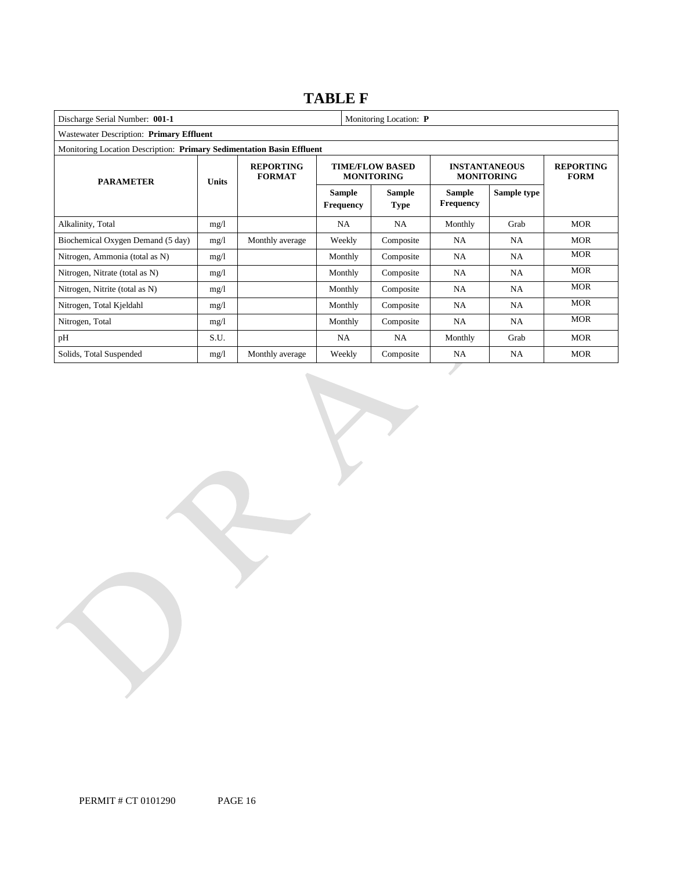### **TABLE F**

| Discharge Serial Number: 001-1<br>Monitoring Location: P              |              |                                   |                                   |                                             |                                           |                                 |            |
|-----------------------------------------------------------------------|--------------|-----------------------------------|-----------------------------------|---------------------------------------------|-------------------------------------------|---------------------------------|------------|
| Wastewater Description: Primary Effluent                              |              |                                   |                                   |                                             |                                           |                                 |            |
| Monitoring Location Description: Primary Sedimentation Basin Effluent |              |                                   |                                   |                                             |                                           |                                 |            |
| <b>PARAMETER</b>                                                      | <b>Units</b> | <b>REPORTING</b><br><b>FORMAT</b> |                                   | <b>TIME/FLOW BASED</b><br><b>MONITORING</b> | <b>INSTANTANEOUS</b><br><b>MONITORING</b> | <b>REPORTING</b><br><b>FORM</b> |            |
|                                                                       |              |                                   | <b>Sample</b><br><b>Frequency</b> | Sample<br><b>Type</b>                       | <b>Sample</b><br><b>Frequency</b>         | Sample type                     |            |
| Alkalinity, Total                                                     | mg/l         |                                   | <b>NA</b>                         | <b>NA</b>                                   | Monthly                                   | Grab                            | <b>MOR</b> |
| Biochemical Oxygen Demand (5 day)                                     | mg/l         | Monthly average                   | Weekly                            | Composite                                   | <b>NA</b>                                 | <b>NA</b>                       | <b>MOR</b> |
| Nitrogen, Ammonia (total as N)                                        | mg/1         |                                   | Monthly                           | Composite                                   | NA                                        | <b>NA</b>                       | <b>MOR</b> |
| Nitrogen, Nitrate (total as N)                                        | mg/1         |                                   | Monthly                           | Composite                                   | NA                                        | NA                              | <b>MOR</b> |
| Nitrogen, Nitrite (total as N)                                        | mg/1         |                                   | Monthly                           | Composite                                   | <b>NA</b>                                 | <b>NA</b>                       | <b>MOR</b> |
| Nitrogen, Total Kjeldahl                                              | mg/1         |                                   | Monthly                           | Composite                                   | <b>NA</b>                                 | NA.                             | <b>MOR</b> |
| Nitrogen, Total                                                       | mg/l         |                                   | Monthly                           | Composite                                   | <b>NA</b>                                 | <b>NA</b>                       | <b>MOR</b> |
| pH                                                                    | S.U.         |                                   | NA                                | <b>NA</b>                                   | Monthly                                   | Grab                            | <b>MOR</b> |
| Solids, Total Suspended                                               | mg/l         | Monthly average                   | Weekly                            | Composite                                   | <b>NA</b>                                 | NA.                             | <b>MOR</b> |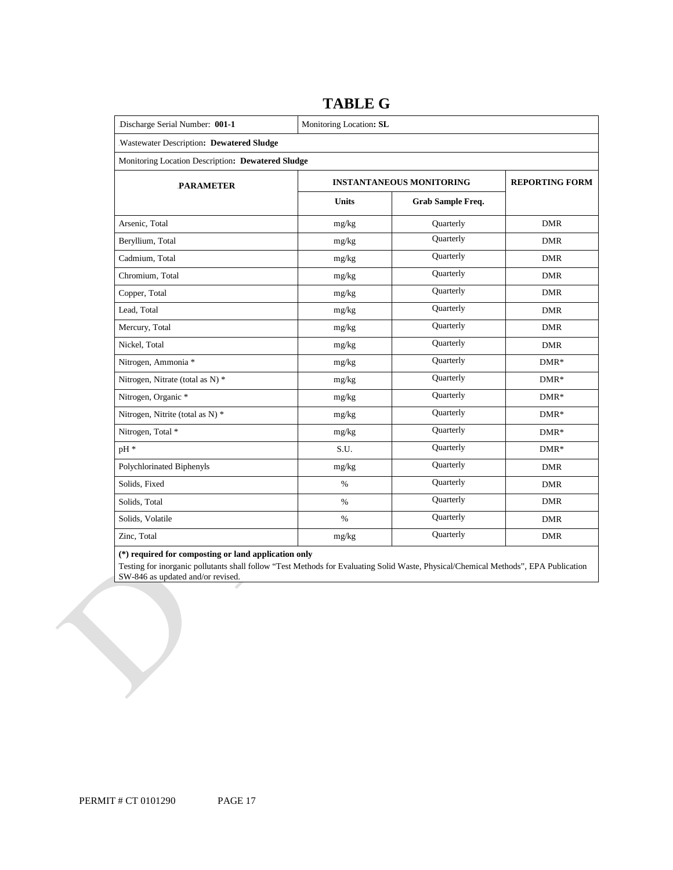| Discharge Serial Number: 001-1                    | Monitoring Location: SL         |                          |            |  |  |  |  |  |
|---------------------------------------------------|---------------------------------|--------------------------|------------|--|--|--|--|--|
| Wastewater Description: Dewatered Sludge          |                                 |                          |            |  |  |  |  |  |
| Monitoring Location Description: Dewatered Sludge |                                 |                          |            |  |  |  |  |  |
| <b>PARAMETER</b>                                  | <b>INSTANTANEOUS MONITORING</b> | <b>REPORTING FORM</b>    |            |  |  |  |  |  |
|                                                   | <b>Units</b>                    | <b>Grab Sample Freq.</b> |            |  |  |  |  |  |
| Arsenic, Total                                    | mg/kg                           | Quarterly                | <b>DMR</b> |  |  |  |  |  |
| Beryllium, Total                                  | mg/kg                           | Quarterly                | <b>DMR</b> |  |  |  |  |  |
| Cadmium, Total                                    | mg/kg                           | Quarterly                | <b>DMR</b> |  |  |  |  |  |
| Chromium, Total                                   | mg/kg                           | Quarterly                | <b>DMR</b> |  |  |  |  |  |
| Copper, Total                                     | mg/kg                           | Quarterly                | <b>DMR</b> |  |  |  |  |  |
| Lead, Total                                       | mg/kg                           | Quarterly                | <b>DMR</b> |  |  |  |  |  |
| Mercury, Total                                    | mg/kg                           | Quarterly                | <b>DMR</b> |  |  |  |  |  |
| Nickel, Total                                     | mg/kg                           | Quarterly                | <b>DMR</b> |  |  |  |  |  |
| Nitrogen, Ammonia *                               | mg/kg                           | Quarterly                | $DMR*$     |  |  |  |  |  |
| Nitrogen, Nitrate (total as N) *                  | mg/kg                           | Quarterly                | $DMR*$     |  |  |  |  |  |
| Nitrogen, Organic *                               | mg/kg                           | Quarterly                | $DMR*$     |  |  |  |  |  |
| Nitrogen, Nitrite (total as N) *                  | mg/kg                           | Quarterly                | $DMR*$     |  |  |  |  |  |
| Nitrogen, Total *                                 | mg/kg                           | Quarterly                | $DMR*$     |  |  |  |  |  |
| pH *                                              | S.U.                            | Quarterly                | $DMR*$     |  |  |  |  |  |
| Polychlorinated Biphenyls                         | mg/kg                           | Quarterly                | <b>DMR</b> |  |  |  |  |  |
| Solids, Fixed                                     | $\%$                            | Quarterly                | <b>DMR</b> |  |  |  |  |  |
| Solids, Total                                     | $\%$                            | Quarterly                | <b>DMR</b> |  |  |  |  |  |
| Solids, Volatile                                  | $\%$                            | Quarterly                | <b>DMR</b> |  |  |  |  |  |
| Zinc, Total                                       | mg/kg                           | Quarterly                | <b>DMR</b> |  |  |  |  |  |

### **TABLE G**

#### **(\*) required for composting or land application only**

Testing for inorganic pollutants shall follow "Test Methods for Evaluating Solid Waste, Physical/Chemical Methods", EPA Publication SW-846 as updated and/or revised.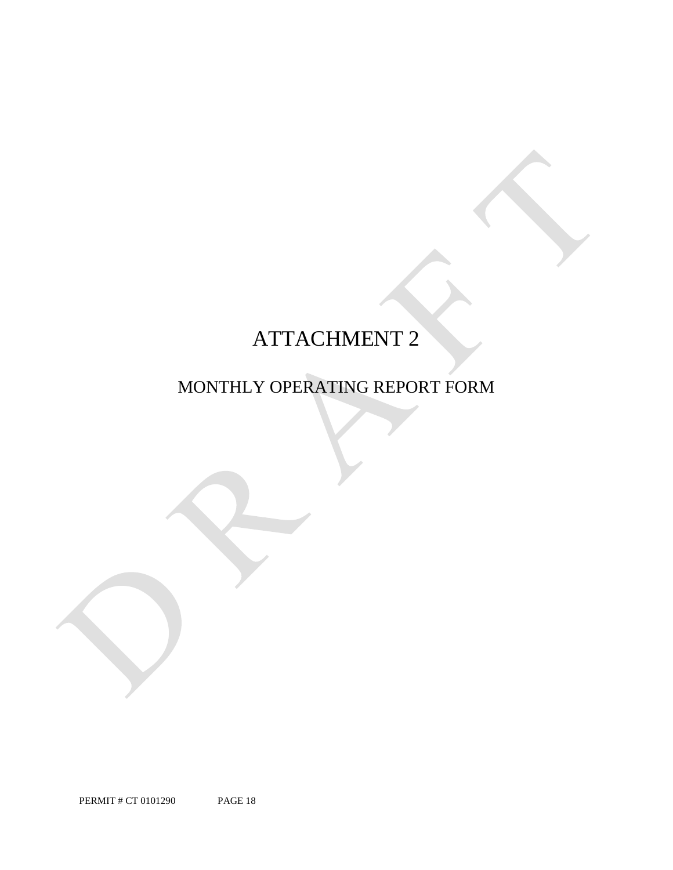## ATTACHMENT 2

### MONTHLY OPERATING REPORT FORM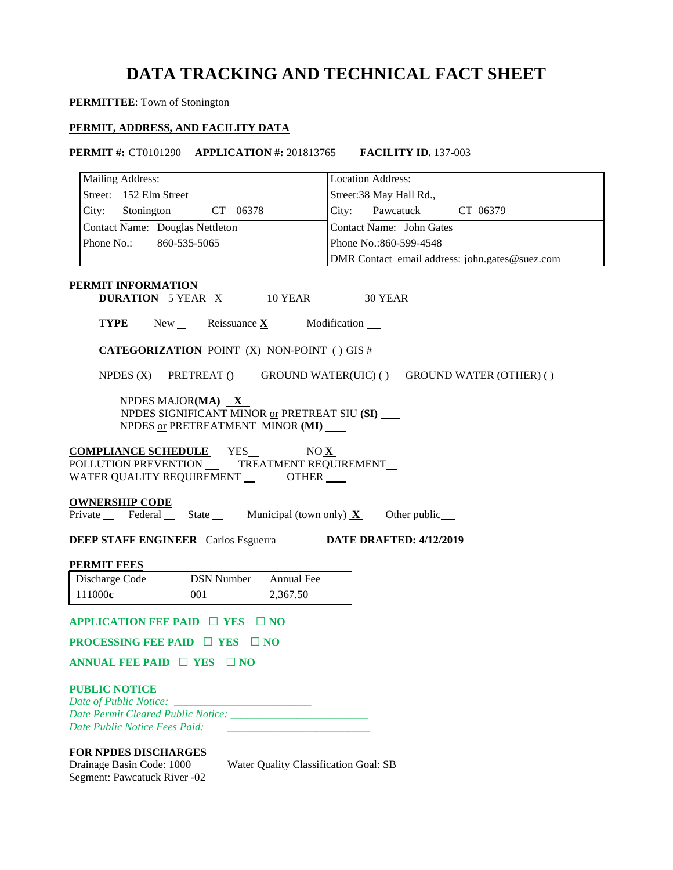### **DATA TRACKING AND TECHNICAL FACT SHEET**

**PERMITTEE**: Town of Stonington

### **PERMIT, ADDRESS, AND FACILITY DATA**

 **PERMIT #:** CT0101290 **APPLICATION #:** 201813765 **FACILITY ID.** 137-003

| <b>Mailing Address:</b>                                                                                                           | <b>Location Address:</b>                                           |
|-----------------------------------------------------------------------------------------------------------------------------------|--------------------------------------------------------------------|
| Street: 152 Elm Street                                                                                                            | Street:38 May Hall Rd.,                                            |
| City: Stonington<br>CT 06378                                                                                                      | City: Pawcatuck CT 06379                                           |
| Contact Name: Douglas Nettleton                                                                                                   | <b>Contact Name:</b> John Gates                                    |
| Phone No.:<br>860-535-5065                                                                                                        | Phone No.: 860-599-4548                                            |
|                                                                                                                                   | DMR Contact email address: john.gates@suez.com                     |
|                                                                                                                                   |                                                                    |
| PERMIT INFORMATION<br><b>DURATION</b> 5 YEAR $X$ 10 YEAR $\_\$ 30 YEAR                                                            |                                                                    |
| <b>TYPE</b> New Reissuance X Modification                                                                                         |                                                                    |
| <b>CATEGORIZATION POINT (X) NON-POINT () GIS #</b>                                                                                |                                                                    |
|                                                                                                                                   | NPDES (X) PRETREAT () GROUND WATER(UIC) () GROUND WATER (OTHER) () |
| NPDES MAJOR(MA) $X$<br>NPDES SIGNIFICANT MINOR or PRETREAT SIU (SI) ___<br>NPDES or PRETREATMENT MINOR (MI)                       |                                                                    |
| WATER QUALITY REQUIREMENT OTHER                                                                                                   |                                                                    |
| <u>OWNERSHIP CODE</u>                                                                                                             |                                                                    |
| Private Federal State Municipal (town only) $X$ Other public                                                                      |                                                                    |
| <b>DEEP STAFF ENGINEER</b> Carlos Esguerra <b>DATE DRAFTED:</b> 4/12/2019                                                         |                                                                    |
| <b>PERMIT FEES</b>                                                                                                                |                                                                    |
| Discharge Code<br><b>DSN Number</b><br>Annual Fee                                                                                 |                                                                    |
| 111000c<br>001<br>2,367.50                                                                                                        |                                                                    |
| APPLICATION FEE PAID $\Box$ YES $\Box$ NO                                                                                         |                                                                    |
| <b>PROCESSING FEE PAID <math>\Box</math> YES <math>\Box</math> NO</b>                                                             |                                                                    |
| ANNUAL FEE PAID $\Box$ YES $\Box$ NO                                                                                              |                                                                    |
| <b>PUBLIC NOTICE</b><br>Date of Public Notice:<br>Date Public Notice Fees Paid:                                                   |                                                                    |
| <b>FOR NPDES DISCHARGES</b><br>Drainage Basin Code: 1000<br>Water Quality Classification Goal: SB<br>Segment: Pawcatuck River -02 |                                                                    |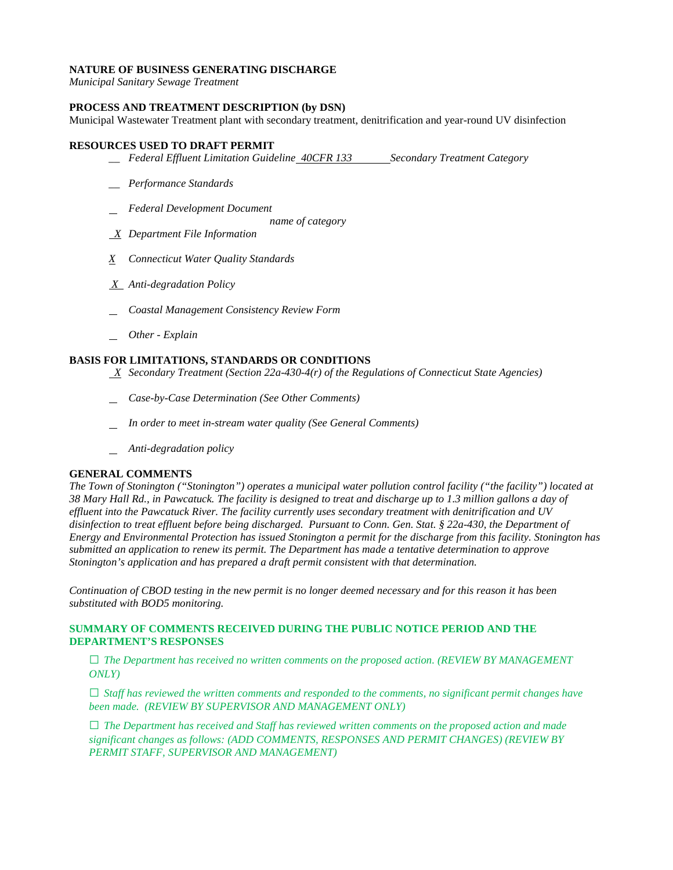### **NATURE OF BUSINESS GENERATING DISCHARGE**

*Municipal Sanitary Sewage Treatment* 

### **PROCESS AND TREATMENT DESCRIPTION (by DSN)**

Municipal Wastewater Treatment plant with secondary treatment, denitrification and year-round UV disinfection

### **RESOURCES USED TO DRAFT PERMIT**

- **\_\_ Federal Effluent Limitation Guideline 40CFR 133 Secondary Treatment Category**
- *\_\_ Performance Standards*
- *Federal Development Document* 
	- *name of category*
- *X Department File Information*
- *X Connecticut Water Quality Standards*
- *X Anti-degradation Policy*
- *Coastal Management Consistency Review Form*
- *Other - Explain*

### **BASIS FOR LIMITATIONS, STANDARDS OR CONDITIONS**

- *X Secondary Treatment (Section 22a-430-4(r) of the Regulations of Connecticut State Agencies)*
- *Case-by-Case Determination (See Other Comments)*
- *In order to meet in-stream water quality (See General Comments)*
- *Anti-degradation policy*

### **GENERAL COMMENTS**

 *effluent into the Pawcatuck River. The facility currently uses secondary treatment with denitrification and UV Energy and Environmental Protection has issued Stonington a permit for the discharge from this facility. Stonington has The Town of Stonington ("Stonington") operates a municipal water pollution control facility ("the facility") located at 38 Mary Hall Rd., in Pawcatuck. The facility is designed to treat and discharge up to 1.3 million gallons a day of disinfection to treat effluent before being discharged. Pursuant to Conn. Gen. Stat. § 22a-430, the Department of submitted an application to renew its permit. The Department has made a tentative determination to approve* 

 *Stonington's application and has prepared a draft permit consistent with that determination. Continuation of CBOD testing in the new permit is no longer deemed necessary and for this reason it has been substituted with BOD5 monitoring.* 

### **SUMMARY OF COMMENTS RECEIVED DURING THE PUBLIC NOTICE PERIOD AND THE DEPARTMENT'S RESPONSES**

**□** *The Department has received no written comments on the proposed action. (REVIEW BY MANAGEMENT ONLY)*

**□** *Staff has reviewed the written comments and responded to the comments, no significant permit changes have been made. (REVIEW BY SUPERVISOR AND MANAGEMENT ONLY)*

**□** *The Department has received and Staff has reviewed written comments on the proposed action and made significant changes as follows: (ADD COMMENTS, RESPONSES AND PERMIT CHANGES) (REVIEW BY PERMIT STAFF, SUPERVISOR AND MANAGEMENT)*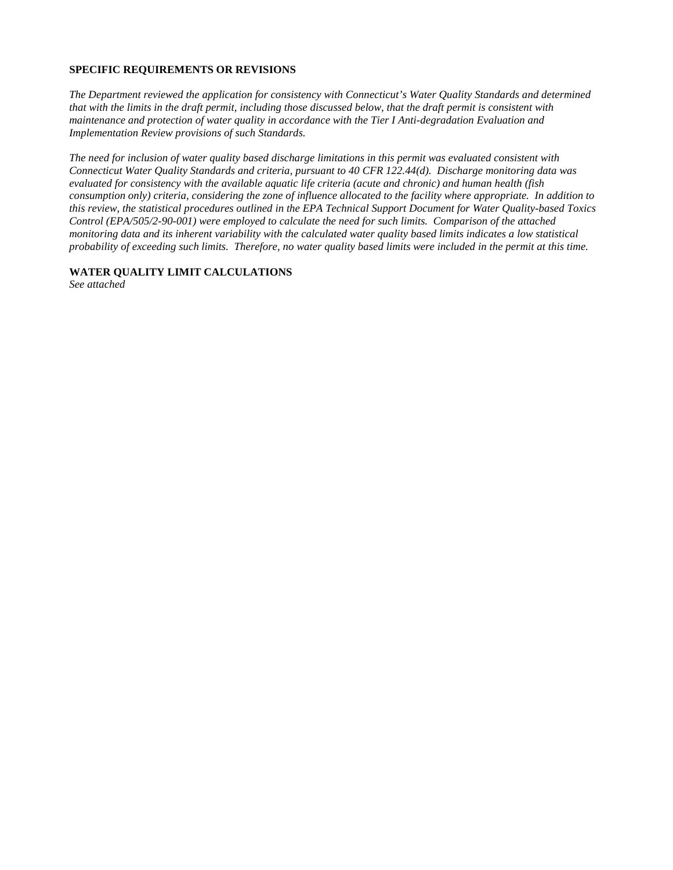### **SPECIFIC REQUIREMENTS OR REVISIONS**

**Implementation Review provisions of such Standards.** *The Department reviewed the application for consistency with Connecticut's Water Quality Standards and determined that with the limits in the draft permit, including those discussed below, that the draft permit is consistent with maintenance and protection of water quality in accordance with the Tier I Anti-degradation Evaluation and* 

 *Connecticut Water Quality Standards and criteria, pursuant to 40 CFR 122.44(d). Discharge monitoring data was consumption only) criteria, considering the zone of influence allocated to the facility where appropriate. In addition to The need for inclusion of water quality based discharge limitations in this permit was evaluated consistent with evaluated for consistency with the available aquatic life criteria (acute and chronic) and human health (fish this review, the statistical procedures outlined in the EPA Technical Support Document for Water Quality-based Toxics Control (EPA/505/2-90-001) were employed to calculate the need for such limits. Comparison of the attached monitoring data and its inherent variability with the calculated water quality based limits indicates a low statistical probability of exceeding such limits. Therefore, no water quality based limits were included in the permit at this time.* 

### **WATER QUALITY LIMIT CALCULATIONS**

*See attached*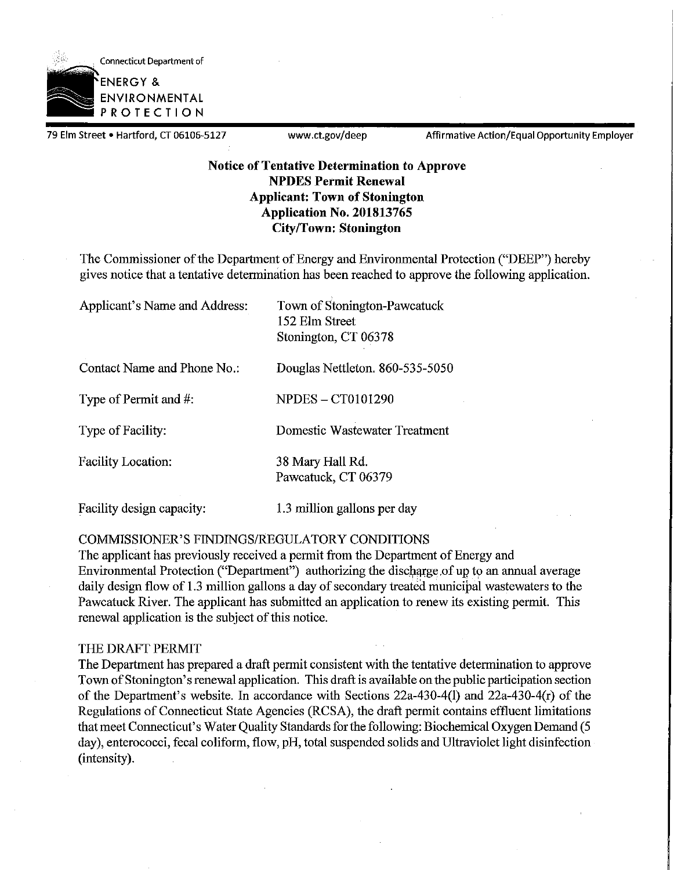

79 Elm Street • Hartford, CT 06106-5127 <www.ct.gov/deep>Affirmative Action/Equal Opportunity Employer

### **Notice of Tentative Determination to Approve NPDES Permit Renewal Applicant: Town of Stonington Application No. 201813765 City/Town: Stonington**

The Commissioner of the Department of Energy and Environmental Protection ("DEEP") hereby gives notice that a tentative determination has been reached to approve the following application.

Applicant's Name and Address: Town of Stonington-Pawcatuck

152 Elm Street Stonington, CT 06378

Contact Name and Phone No.: Douglas Nettleton. 860-535-5050

Type of Permit and #: NPDES – CT0101290

Type of Facility: Domestic Wastewater Treatment

# Facility Location: 38 Mary Hall Rd.

Pawcatuck, CT 06379

### Facility design capacity: 1.3 million gallons per day

### COMMISSIONER'S FINDINGS/REGULATORY CONDITIONS

The applicant has previously received a permit from the Department of Energy and Environmental Protection ("Department") authorizing the discharge of up to an annual average daily design flow of 1.3 million gallons a day of secondary treated municipal wastewaters to the Pawcatuck River. The applicant has submitted an application to renew its existing permit. This renewal application is the subject of this notice.

### THE DRAFT PERMIT

The Department has prepared a draft permit consistent with the tentative determination to approve Town of Stonington's renewal application. This draft is available on the public participation section of the Department's website. In accordance with Sections 22a-430-4(1) and 22a-430-4(r) of the Regulations of Connecticut State Agencies (RCSA), the draft permit contains effluent limitations that meet Connecticut's Water Quality Standards for the following: Biochemical Oxygen Demand (5 day), enterococci, fecal coliform, flow, pH, total suspended solids and Ultraviolet light disinfection (intensity).